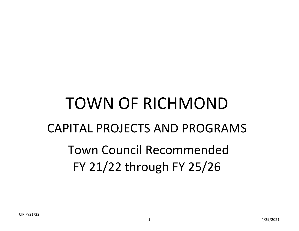# TOWN OF RICHMOND CAPITAL PROJECTS AND PROGRAMS Town Council Recommended FY 21/22 through FY 25/26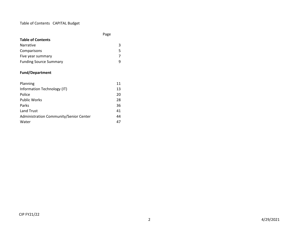## Table of Contents CAPITAL Budget

|                                        | Page |
|----------------------------------------|------|
| <b>Table of Contents</b>               |      |
| <b>Narrative</b>                       | 3    |
| Comparisons                            | 5    |
| Five year summary                      | 7    |
| <b>Funding Source Summary</b>          | 9    |
| <b>Fund/Department</b>                 |      |
| Planning                               | 11   |
| Information Technology (IT)            | 13   |
| Police                                 | 20   |
| <b>Public Works</b>                    | 28   |
| Parks                                  | 36   |
| <b>Land Trust</b>                      | 41   |
| Administration Community/Senior Center | 44   |
| Water                                  | 47   |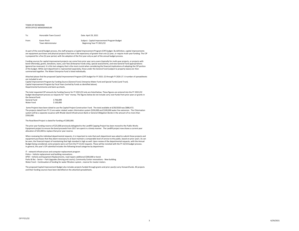#### TOWN OF RICHMOND INTER OFFICE MEMORANDUM

| To:   | Honorable Town Council            | Date: April 29, 2021                                                     |
|-------|-----------------------------------|--------------------------------------------------------------------------|
| From: | Karen Pinch<br>Town Administrator | Subiect: Capital Improvement Program Budget<br>Beginning Year FY 2021/22 |

As part of the overall budget process, the staff prepares a Capital Improvement Program (CIP) budget. By definition, capital improvements are equipment purchases and physical projects that have a life expectancy of greater than one (1) year, or require multi-year funding. The CIP is prepared for a five (5) year period, with the adoption of the first year only as part of the annual budget process.

Funding sources for capital improvement projects can come from prior year carry-overs (typically for multi-year projects, or projects with bond referenda), grants, donations, loans, user fees (Enterprise Funds only), special assessments, and new General Fund appropriations (general tax revenues). It is this last category that is the most crucial when considering the financial implications of adopting the CIP portion of the budget. While each department is represented separately, those under the General Fund (subject to property taxes) are then summarized together. The Water Enterprise Fund is listed individually.

Attached please find the proposed Capital Improvement Program (CIP) budget for FY 2021-22 through FY 2026-27. A number of spreadsheets are included to wit:

Capital Improvement Program by Funding Source (General Fund, Enterprise Water Fund and Special Funds (Land Trust). Capital Improvement Program by Fiscal Years (sorted by Funds as identified above). Departmental Summaries and back-up sheets.

The total requested CIP amounts by Funding Source for FY 2021/22 only are listed below. These figures are entered into the FY 2021/22 budget development process as requests for "new" money. The figures below do not include carry-over funds from prior years or grants in the General fund.

General Fund \$706,899<br>Water Fund \$100.000 Water Fund

Some Projects have been slated to use the Capital Project Construction Fund. The total available at 6/30/2020 was \$886,472. The projects slated from FY 21 are water related: water chlorination system \$350,000 and \$100,000 water line extension. The Chlorination system will be a separate issuance with Rhode Island Infrastructure Bank or General Obligation Bonds in the amount of no more than \$350,000.

The Road Bond Project is slated for funding of \$300,000.

The prior year funding reserve of \$25,000 previously delegated to the Landfill Capping Project has been moved to the Public Works Equipment project to ensure the bond proceeds from 2017 are spent in a timely manner. The Landfill project now shows a current year allocation of \$25,000 to replace that prior year reserve.

When reviewing the individual departmental requests, it is important to note that each department was asked to submit those projects and equipment purchases that they deem necessary to at least maintain a comparable level of service to the public, based on prior years. As can be seen, the financial impact of maintaining that high standard is high as well. Upon review of the departmental requests, with the Annual Budget being considered, some projects were cut from the FY 21/22 requests. These will be revisited with the FY 22/23 budget process. In general, this year's CIP submittal includes the following broad categories by department:

IT - network infrastructure and computer replacement program Police – Vehicle replacement and building renovations . DPW – Vehicle and Equipment Replacements, road repairs additional \$300,000 or bond. Parks & Rec - Senior – Park Upgrades (fencing and courts), Community Center renovations - New building. Water Fund – Continuation of funding for water filtration system , reserve for master meters.

The proposed Capital Improvement Budget also includes projects funded through grants and prior year(s) carry-forward funds. All projects and their funding sources have been identified on the attached spreadsheets.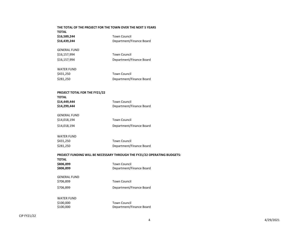# **THE TOTAL OF THE PROJECT FOR THE TOWN OVER THE NEXT 5 YEARS TOTAL \$16,589,244** Town Council **\$16,439,244** Department/Finance Board GENERAL FUND \$16,157,994 Town Council \$16,157,994 Department/Finance Board WATER FUND \$431,250 Town Council \$281,250 Department/Finance Board **PROJECT TOTAL FOR THE FY21/22 TOTAL \$14,449,444** Town Council **\$14,299,444** Department/Finance Board GENERAL FUND \$14,018,194 Town Council \$14,018,194 Department/Finance Board WATER FUND \$431,250 Town Council \$281,250 Department/Finance Board **PROJECT FUNDING WILL BE NECESSARY THROUGH THE FY21/22 OPERATING BUDGETS: TOTAL \$806,899** Town Council **\$806,899** Department/Finance Board GENERAL FUND \$706,899 Town Council \$706,899 Department/Finance Board WATER FUND

\$100,000 Town Council

\$100,000 Department/Finance Board

CIP FY21/22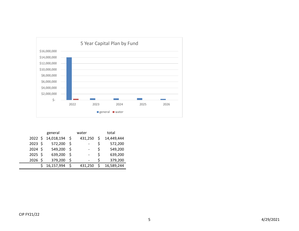

|                  | general    |              | water          |    | total      |
|------------------|------------|--------------|----------------|----|------------|
| $2022 \;$ \$     | 14,018,194 | - S          | 431,250        |    | 14,449,444 |
| $2023 \; \simeq$ | 572,200    | -S           | $\overline{a}$ | Ś  | 572,200    |
| $2024 \;$ \$     | 549,200    | <sup>5</sup> |                | Ś  | 549,200    |
| $2025$ \$        | 639,200    |              | -              | \$ | 639,200    |
| $2026$ \$        | 379,200    | S            |                | \$ | 379,200    |
|                  | 16,157,994 |              | 431,250        |    | 16,589,244 |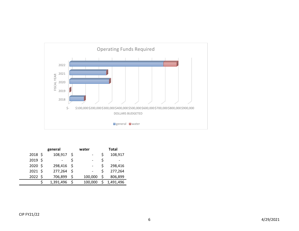

|           | general    | water   |   | Total     |
|-----------|------------|---------|---|-----------|
| $2018$ \$ | 108,917    |         |   | 108,917   |
| 2019 \$   |            |         |   |           |
| 2020 \$   | 298,416 \$ |         |   | 298,416   |
| $2021$ \$ | 277,264    |         |   | 277,264   |
| 2022 \$   | 706,899    | 100,000 | S | 806,899   |
|           | 1,391,496  | 100,000 |   | 1,491,496 |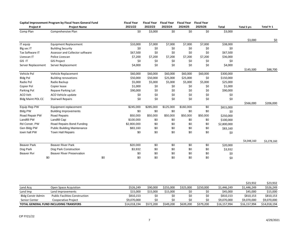|                          | Capital Improvement Program by Fiscal Years General Fund |     | <b>Fiscal Year</b> | <b>Fiscal Year</b> | <b>Fiscal Year</b> | <b>Fiscal Year</b> | <b>Fiscal Year</b> |              |             |             |
|--------------------------|----------------------------------------------------------|-----|--------------------|--------------------|--------------------|--------------------|--------------------|--------------|-------------|-------------|
| Project#                 | <b>Project Name</b>                                      |     | 2021/22            | 2022/23            | 2023/24            | 2024/25            | 2025/26            | <b>Total</b> | Total 5 yrs | Total Yr 1  |
| Comp Plan                | Comprehensive Plan                                       |     | \$0                | \$3,000            | \$0                | \$0                | \$0                | \$3,000      |             |             |
|                          |                                                          |     |                    |                    |                    |                    |                    |              | \$3,000     | \$0         |
| IT equip                 | <b>Equipment Replacement</b>                             |     | \$10,000           | \$7,000            | \$7,000            | \$7,000            | \$7,000            | \$38,000     |             |             |
| Blg sec IT               | <b>Building Security</b>                                 |     | \$0                | \$0                | \$0                | \$0                | \$0                | \$0          |             |             |
| Tax Software IT          | Assessor and Collector software                          |     | \$67,500           | \$0                | \$0                | \$0                | \$0                | \$67,500     |             |             |
| Livescan IT              | Police Livescan                                          |     | \$7,200            | \$7,200            | \$7,200            | \$7,200            | \$7,200            | \$36,000     |             |             |
| GIS IT                   | <b>GIS Project</b>                                       |     | \$0                | \$0                | \$0                | \$0                | \$0                | \$0          |             |             |
| Server Replacement       | Server Replacement                                       |     | \$4,000            | \$0                | \$0                | \$0                | \$0                | \$4,000      |             |             |
|                          |                                                          |     |                    |                    |                    |                    |                    |              | \$145,500   | \$88,700    |
| Vehicle Pol              | Vehicle Replacement                                      |     | \$60,000           | \$60,000           | \$60,000           | \$60,000           | \$60,000           | \$300,000    |             |             |
| <b>Bldg Pol</b>          | <b>Building renovations</b>                              |     | \$50,000           | \$50,000           | \$25,000           | \$25,000           | \$0                | \$150,000    |             |             |
| Radio Pol                | Radio Backup                                             |     | \$5,000            | \$5,000            | \$5,000            | \$5,000            | \$5,000            | \$25,000     |             |             |
| Copier Pol               | Copier lease                                             |     | \$1,000            | \$0                | \$0                | \$0                | \$0                | \$1,000      |             |             |
| Parking Pol              | Repave Parking Lot                                       |     | \$90,000           | \$0                | \$0                | \$0                | \$0                | \$90,000     |             |             |
| ACO Veh                  | ACO Vehicle update                                       |     | \$0                | \$0                | \$0                | \$0                | \$0                | \$0          |             |             |
| <b>Bldg Maint POL CC</b> | <b>Stairwell Repairs</b>                                 |     | \$0                | \$0                | \$0                | \$0                | \$0                | \$0          |             |             |
|                          |                                                          |     |                    |                    |                    |                    |                    |              | \$566,000   | \$206,000   |
| Equip Rep PW             | Equipment replacement                                    |     | \$245,000          | \$285,000          | \$125,000          | \$160,000          | \$0                | \$815,000    |             |             |
| <b>Bldg PW</b>           | <b>Building Improvements</b>                             |     | \$0                | \$0                | \$0                | \$0                | \$0                | \$0          |             |             |
| Road Repair PW           | Road Repairs                                             |     | \$50,000           | \$50,000           | \$50,000           | \$50,000           | \$50,000           | \$250,000    |             |             |
| Landfill PW              | Landfill Cap                                             |     | \$100,000          | \$0                | \$0                | \$0                | \$0                | \$100,000    |             |             |
| Rd Constr. PW            | Road Repairs Bond Funding                                |     | \$2,800,000        | \$0                | \$0                | \$0                | \$0                | \$2,800,000  |             |             |
| Gen Bldg PW              | <b>Public Building Maintenance</b>                       |     | \$83,160           | \$0                | \$0                | \$0                | \$0                | \$83,160     |             |             |
| town hall PW             | <b>Town Hall Repairs</b>                                 |     | \$0                | \$0                | \$0                | \$0                | \$0                | \$0          |             |             |
|                          |                                                          |     |                    |                    |                    |                    |                    |              | \$4,048,160 | \$3,278,160 |
| <b>Beaver Park</b>       | <b>Beaver River Park</b>                                 |     | \$20,000           | \$0                | \$0                | \$0                | \$0                | \$20,000     |             |             |
| Dog Park                 | Dog Park Construction                                    |     | \$3,932            | \$0                | \$0                | \$0                | \$0                | \$3,932      |             |             |
| <b>Beaver Rvr</b>        | <b>Beaver River Preservation</b>                         |     | \$0                | \$0                | \$0                | \$0                | \$0                | \$0          |             |             |
|                          | \$0                                                      | \$0 | \$0                | \$0                | \$0                | \$0                | \$0                | \$0          |             |             |

|                          |                                        |              |           |           |           |           |              | \$23.932     | \$23,932     |
|--------------------------|----------------------------------------|--------------|-----------|-----------|-----------|-----------|--------------|--------------|--------------|
| Land Acq                 | Open Space Acquistion                  | \$526.249    | \$90,000  | \$255,000 | \$325.000 | \$250.000 | \$1,446,249  | \$1,446.249  | \$526,249    |
| Land Imp                 | Land improvements                      | \$15.000     | \$15,000  | \$15,000  | Ś0        | \$0       | \$45,000     | \$45,000     | \$15,000     |
| <b>Bldg Constr Admin</b> | <b>Public Facilities Construction</b>  | \$810,153    | \$0       | \$0       | \$0       | \$0       | \$810,153    | \$810.153    | \$810,153    |
| Senior Center            | Cooperative Proiect                    | \$9,070,000  | \$0       | S0        | S0        | \$0       | \$9,070,000  | \$9.070.000  | \$9,070,000  |
|                          | TOTAL GENERAL FUND INCLUDING TRANSFERS | \$14,018,194 | \$572,200 | \$549,200 | \$639,200 | \$379,200 | \$16,157,994 | \$16,157,994 | \$14,018,194 |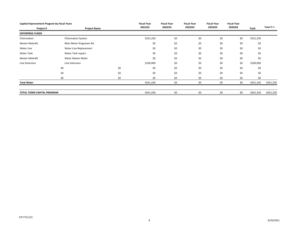| Capital Improvement Program by Fiscal Years |                            |     | <b>Fiscal Year</b> | <b>Fiscal Year</b> | <b>Fiscal Year</b> | <b>Fiscal Year</b> | <b>Fiscal Year</b> |           |            |
|---------------------------------------------|----------------------------|-----|--------------------|--------------------|--------------------|--------------------|--------------------|-----------|------------|
| Project #                                   | <b>Project Name</b>        |     | 2021/22            | 2022/23            | 2023/24            | 2024/25            | 2025/26            | Total     | Total Yr 1 |
| <b>ENTERPRISE FUNDS</b>                     |                            |     |                    |                    |                    |                    |                    |           |            |
| Chlorination                                | <b>Chlorination System</b> |     | \$331,250          | \$0                | \$0                | \$0                | \$0                | \$331,250 |            |
| Master Meter#1                              | Main Meter Kingstown Rd    |     | \$0                | \$0                | \$0                | \$0                | \$0                | \$0       |            |
| Water Line                                  | Water Line Replacement     |     | \$0                | \$0                | \$0                | \$0                | \$0                | \$0       |            |
| Water Tank                                  | Water Tank repairs         |     | \$0                | \$0                | \$0                | \$0                | \$0                | \$0       |            |
| Master Meter#2                              | Water Master Meter         |     | \$0                | \$0                | \$0                | \$0                | \$0                | \$0       |            |
| Line Extension                              | Line Extension             |     | \$100,000          | \$0                | \$0                | \$0                | \$0                | \$100,000 |            |
|                                             | \$0                        | \$0 | \$0                | \$0                | \$0                | \$0                | \$0                | \$0       |            |
|                                             | \$0                        | \$0 | \$0                | \$0                | \$0                | \$0                | \$0                | \$0       |            |
|                                             | \$0                        | \$0 | \$0                | \$0                | \$0                | \$0                | \$0                | \$0       |            |
| <b>Total Water</b>                          |                            |     | \$431,250          | \$0                | \$0                | \$0                | \$0                | \$431,250 | \$431,250  |
|                                             |                            |     |                    |                    |                    |                    |                    |           |            |
| TOTAL TOWN CAPITAL PROGRAM                  |                            |     | \$431,250          | \$0                | \$0                | \$0                | \$0                | \$431,250 | \$431,250  |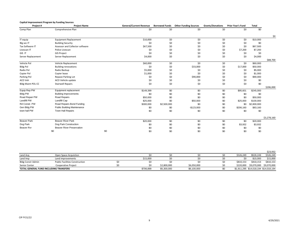#### **Capital Improvement Program by Funding Sources**

| Project#                 | <b>Project Name</b>                | <b>General/Current Revenue</b> | <b>Borrowed Funds</b> | <b>Other Funding Sources</b> | <b>Grants/Donations</b> | <b>Prior Year's Fund</b> | Total       |             |
|--------------------------|------------------------------------|--------------------------------|-----------------------|------------------------------|-------------------------|--------------------------|-------------|-------------|
| Comp Plan                | Comprehensive Plan                 | \$0                            | \$0                   | \$0                          | \$0                     | \$0                      | \$0         |             |
|                          |                                    |                                |                       |                              |                         |                          |             | \$0         |
| IT equip                 | <b>Equipment Replacement</b>       | \$10,000                       | \$0                   | \$0                          | \$0                     | \$0                      | \$10,000    |             |
| Blg sec IT               | <b>Building Security</b>           | \$0                            | \$0                   | \$0                          | \$0                     | \$0                      | \$0         |             |
| Tax Software IT          | Assessor and Collector software    | \$67,500                       | \$0                   | \$0                          | \$0                     | \$0                      | \$67,500    |             |
| Livescan IT              | Police Livescan                    | \$0                            | \$0                   | \$0                          | \$0                     | \$7,200                  | \$7,200     |             |
| GIS IT                   | <b>GIS Project</b>                 | \$0                            | \$0                   | \$0                          | \$0                     | \$0                      | \$0         |             |
| Server Replacement       | Server Replacement                 | \$4,000                        | \$0                   | \$0                          | \$0                     | \$0                      | \$4,000     |             |
|                          |                                    |                                |                       |                              |                         |                          |             | \$88,700    |
| Vehicle Pol              | Vehicle Replacement                | \$60,000                       | \$0                   | \$0                          | \$0                     | \$0                      | \$60,000    |             |
| <b>Bldg Pol</b>          | <b>Building renovations</b>        | \$0                            | \$0                   | \$33,000                     | \$0                     | \$17,000                 | \$50,000    |             |
| Radio Pol                | Radio Backup                       | \$5,000                        | \$0                   | \$0                          | \$0                     | \$0                      | \$5,000     |             |
| Copier Pol               | Copier lease                       | \$1,000                        | \$0                   | \$0                          | \$0                     | \$0                      | \$1,000     |             |
| Parking Pol              | Repave Parking Lot                 | \$0                            | \$0                   | \$90,000                     | \$0                     | \$0                      | \$90,000    |             |
| ACO Veh                  | ACO Vehicle update                 | \$0                            | \$0                   | \$0                          | \$0                     | \$0                      | \$0         |             |
| <b>Bldg Maint POL CC</b> | <b>Stairwell Repairs</b>           | \$0                            | \$0                   | \$0                          | \$0                     | \$0                      | \$0         |             |
|                          |                                    |                                |                       |                              |                         |                          |             | \$206,000   |
| Equip Rep PW             | Equipment replacement              | \$149,399                      | \$0                   | \$0                          | \$0                     | \$95,601                 | \$245,000   |             |
| <b>Bldg PW</b>           | <b>Building Improvements</b>       | \$0                            | \$0                   | \$0                          | \$0                     | \$0                      | \$0         |             |
| Road Repair PW           | Road Repairs                       | \$50,000                       | \$0                   | \$0                          | \$0                     | \$0                      | \$50,000    |             |
| Landfill PW              | Landfill Cap                       | \$25,000                       | \$0                   | \$50,000                     | \$0                     | \$25,000                 | \$100,000   |             |
| Rd Constr. PW            | Road Repairs Bond Funding          | \$300,000                      | \$2,500,000           | \$0                          | \$0                     | \$0                      | \$2,800,000 |             |
| Gen Bldg PW              | <b>Public Building Maintenance</b> | \$0                            | \$0                   | $-$123,000$                  | \$0                     | \$206,160                | \$83,160    |             |
| town hall PW             | <b>Town Hall Repairs</b>           | \$0                            | \$0                   | \$0                          | \$0                     | \$0                      | \$0         |             |
|                          |                                    |                                |                       |                              |                         |                          |             | \$3,278,160 |
| <b>Beaver Park</b>       | <b>Beaver River Park</b>           | \$20,000                       | \$0                   | \$0                          | \$0                     | \$0                      | \$20,000    |             |
| Dog Park                 | Dog Park Construction              | \$0                            | \$0                   | \$0                          | \$0                     | \$3,932                  | \$3,932     |             |
| Beaver Rvr               | <b>Beaver River Preservation</b>   | \$0                            | \$0                   | \$0                          | \$0                     | \$0                      | \$0         |             |
|                          | \$0                                | \$0<br>\$0                     | \$0                   | \$0                          | \$0                     | \$0                      | \$0         |             |

|                                        |                                       |           |             |             |           |                                       | \$23,932  |
|----------------------------------------|---------------------------------------|-----------|-------------|-------------|-----------|---------------------------------------|-----------|
| Land Acq                               | Open Space Acquistion                 |           |             |             | \$526.249 | \$526,249                             | \$526,249 |
| Land Imp                               | Land improvements                     | \$15.000  |             |             | \$0       | \$15,000                              | \$15,000  |
| Bldg Constr Admin                      | <b>Public Facilities Construction</b> |           |             |             | \$810,153 | \$810,153                             | \$810,153 |
| Senior Center                          | Cooperative Project                   |           | \$2,800,000 | \$6,050,000 |           | \$220,000 \$9,070,000 \$9,070,000     |           |
| TOTAL GENERAL FUND INCLUDING TRANSFERS |                                       | \$706,899 | \$5,300,000 | \$6,100,000 |           | \$1,911,295 \$14,018,194 \$14,018,194 |           |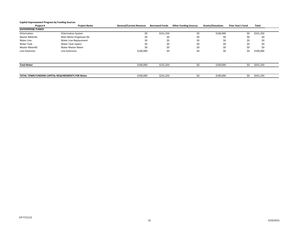#### **Capital Improvement Program by Funding Sources**

| Project #               | <b>Project Name</b>                               | <b>General/Current Revenue</b> | <b>Borrowed Funds</b> | <b>Other Funding Sources</b> | <b>Grants/Donations</b> | <b>Prior Year's Fund</b> | Total     |
|-------------------------|---------------------------------------------------|--------------------------------|-----------------------|------------------------------|-------------------------|--------------------------|-----------|
| <b>ENTERPRISE FUNDS</b> |                                                   |                                |                       |                              |                         |                          |           |
| Chlorination            | <b>Chlorination System</b>                        | \$0                            | \$231,250             | \$0                          | \$100,000               | \$0                      | \$331,250 |
| Master Meter#1          | Main Meter Kingstown Rd                           | \$0                            | \$0                   | \$0                          | \$0                     | \$0                      | \$0       |
| Water Line              | Water Line Replacement                            | \$0                            | \$0                   | \$0                          | \$0                     | \$0                      | \$0       |
| <b>Water Tank</b>       | <b>Water Tank repairs</b>                         | \$0                            | \$0                   | \$0                          | \$0                     | \$0                      | \$0       |
| Master Meter#2          | Water Master Meter                                | \$0                            | \$0                   | \$0                          | \$0                     | \$0                      | \$0       |
| Line Extension          | Line Extension                                    | \$100,000                      | \$0                   | \$0                          | \$0                     | \$0                      | \$100,000 |
|                         |                                                   |                                |                       |                              |                         |                          |           |
| <b>Total Water</b>      |                                                   | \$100,000                      | \$231,250             | ¢∩                           | \$100,000               | \$0                      | \$431,250 |
|                         |                                                   |                                |                       |                              |                         |                          |           |
|                         | TOTAL TOWN FUNDING CAPITAL REQUIREMENTS FOR Water | \$100,000                      | \$231,250             | \$0                          | \$100,000               | \$0                      | \$431,250 |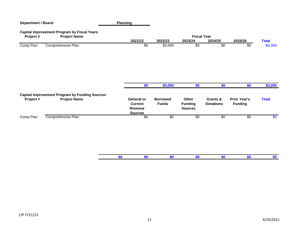| <b>Department / Board:</b> |                                                                              | <b>Planning</b>                                                  |                                 |                                           |                              |                                       |              |
|----------------------------|------------------------------------------------------------------------------|------------------------------------------------------------------|---------------------------------|-------------------------------------------|------------------------------|---------------------------------------|--------------|
| Project#                   | <b>Capital Improvement Program by Fiscal Years</b><br><b>Project Name</b>    |                                                                  |                                 | <b>Fiscal Year</b>                        |                              |                                       |              |
|                            |                                                                              | 2021/22                                                          | 2022/23                         | 2023/24                                   | 2024/25                      | 2025/26                               | <b>Total</b> |
| Comp Plan                  | Comprehensive Plan                                                           | \$0                                                              | \$3,000                         | \$0                                       | \$0                          | \$0                                   | \$3,000      |
|                            |                                                                              | \$0                                                              | \$3,000                         | \$0                                       | \$0                          | \$0                                   | \$3,000      |
| Project #                  | <b>Capital Improvement Program by Funding Sources</b><br><b>Project Name</b> | <b>General or</b><br><b>Current</b><br>Revenue<br><b>Sources</b> | <b>Borrowed</b><br><b>Funds</b> | Other<br><b>Funding</b><br><b>Sources</b> | Grants &<br><b>Donations</b> | <b>Prior Year's</b><br><b>Funding</b> | <b>Total</b> |
| Comp Plan                  | Comprehensive Plan                                                           | \$0                                                              | \$0                             | \$0                                       | \$0                          | \$0                                   | \$0          |
|                            |                                                                              | \$0<br>\$0                                                       | \$0                             | \$0                                       | \$0                          | \$0                                   | \$0          |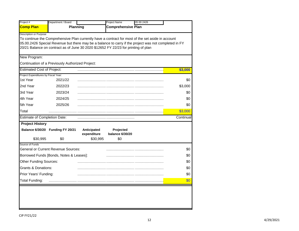| Project #                                        | Department / Board                               |                                        | Project Name                                                                                                                                                                                                                                                                                     | 05 00 24 26 |           |
|--------------------------------------------------|--------------------------------------------------|----------------------------------------|--------------------------------------------------------------------------------------------------------------------------------------------------------------------------------------------------------------------------------------------------------------------------------------------------|-------------|-----------|
| <b>Comp Plan</b>                                 |                                                  | Planning                               | <b>Comprehensive Plan</b>                                                                                                                                                                                                                                                                        |             |           |
| <b>Description or Purpose</b>                    |                                                  |                                        | To continue the Comprehensive Plan currently have a contract for most of the set aside in account<br>05.00.2426 Special Revenue but there may be a balance to carry if the project was not completed in FY<br>20/21 Balance on contract as of June 30 2020 \$12652 FY 22/23 for printing of plan |             |           |
| New Program:                                     |                                                  |                                        |                                                                                                                                                                                                                                                                                                  |             |           |
|                                                  | Continuation of a Previously Authorized Project: |                                        |                                                                                                                                                                                                                                                                                                  |             |           |
| <b>Estimated Cost of Project:</b>                |                                                  |                                        |                                                                                                                                                                                                                                                                                                  |             | \$3,000   |
| Project Expenditures by Fiscal Year:<br>1st Year | 2021/22                                          |                                        |                                                                                                                                                                                                                                                                                                  |             | \$0       |
| 2nd Year                                         | 2022/23                                          |                                        |                                                                                                                                                                                                                                                                                                  |             | \$3,000   |
| 3rd Year                                         | 2023/24                                          |                                        |                                                                                                                                                                                                                                                                                                  |             | \$0       |
| 4th Year                                         | 2024/25                                          |                                        |                                                                                                                                                                                                                                                                                                  |             | \$0       |
| 5th Year                                         | 2025/26                                          |                                        |                                                                                                                                                                                                                                                                                                  |             | \$0       |
| Total                                            |                                                  |                                        |                                                                                                                                                                                                                                                                                                  |             | \$3,000   |
| <b>Estimate of Completion Date:</b>              |                                                  |                                        |                                                                                                                                                                                                                                                                                                  |             | Continual |
| <b>Project History</b><br>\$30,995               | Balance 6/30/20 Funding FY 20/21<br>\$0          | Anticipated<br>expenditure<br>\$30,995 | Projected<br>balance 6/30/20<br>\$0                                                                                                                                                                                                                                                              |             |           |
| Source of Funds                                  |                                                  |                                        |                                                                                                                                                                                                                                                                                                  |             |           |
|                                                  | <b>General or Current Revenue Sources:</b>       |                                        |                                                                                                                                                                                                                                                                                                  |             | \$0       |
|                                                  | Borrowed Funds [Bonds, Notes & Leases]:          |                                        |                                                                                                                                                                                                                                                                                                  |             | \$0       |
| <b>Other Funding Sources:</b>                    |                                                  |                                        |                                                                                                                                                                                                                                                                                                  |             | \$0       |
| <b>Grants &amp; Donations:</b>                   |                                                  |                                        |                                                                                                                                                                                                                                                                                                  |             | \$0       |
|                                                  |                                                  |                                        |                                                                                                                                                                                                                                                                                                  |             | \$0       |
| Prior Years' Funding:                            |                                                  |                                        |                                                                                                                                                                                                                                                                                                  |             |           |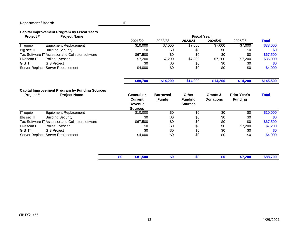## **Department / Board:**

**IT**

## **Capital Improvement Program by Fiscal Years**

| Project#        | <b>Project Name</b>                                                          |     |                                                                  |                                 | <b>Fiscal Year</b>                        |                              |                                       |              |
|-----------------|------------------------------------------------------------------------------|-----|------------------------------------------------------------------|---------------------------------|-------------------------------------------|------------------------------|---------------------------------------|--------------|
|                 |                                                                              |     | 2021/22                                                          | 2022/23                         | 2023/24                                   | 2024/25                      | 2025/26                               | <b>Total</b> |
| <b>IT</b> equip | <b>Equipment Replacement</b>                                                 |     | \$10,000                                                         | \$7,000                         | \$7,000                                   | \$7,000                      | \$7,000                               | \$38,000     |
| Blg sec IT      | <b>Building Security</b>                                                     |     | \$0                                                              | \$0                             | \$0                                       | \$0                          | \$0                                   | \$0          |
|                 | Tax Software IT Assessor and Collector software                              |     | \$67,500                                                         | \$0                             | \$0                                       | \$0                          | \$0                                   | \$67,500     |
| Livescan IT     | Police Livescan                                                              |     | \$7,200                                                          | \$7,200                         | \$7,200                                   | \$7,200                      | \$7,200                               | \$36,000     |
| GIS IT          | <b>GIS Project</b>                                                           |     | \$0                                                              | \$0                             | \$0                                       | \$0                          | \$0                                   | \$0          |
|                 | Server Replace Server Replacement                                            |     | \$4,000                                                          | \$0                             | \$0                                       | \$0                          | \$0                                   | \$4,000      |
|                 |                                                                              |     | \$88,700                                                         | \$14,200                        | \$14,200                                  | \$14,200                     | \$14,200                              | \$145,500    |
| Project #       | <b>Capital Improvement Program by Funding Sources</b><br><b>Project Name</b> |     | <b>General or</b><br><b>Current</b><br>Revenue<br><b>Sources</b> | <b>Borrowed</b><br><b>Funds</b> | Other<br><b>Funding</b><br><b>Sources</b> | Grants &<br><b>Donations</b> | <b>Prior Year's</b><br><b>Funding</b> | <b>Total</b> |
| <b>IT</b> equip | <b>Equipment Replacement</b>                                                 |     | \$10,000                                                         | \$0                             | \$0                                       | \$0                          | \$0                                   | \$10,000     |
| Blg sec IT      | <b>Building Security</b>                                                     |     | \$0                                                              | \$0                             | \$0                                       | \$0                          | \$0                                   | \$0          |
|                 | Tax Software IT Assessor and Collector software                              |     | \$67,500                                                         | \$0                             | \$0                                       | \$0                          | \$0                                   | \$67,500     |
| Livescan IT     | Police Livescan                                                              |     | \$0                                                              | \$0                             | \$0                                       | \$0                          | \$7,200                               | \$7,200      |
| GIS IT          | <b>GIS Project</b>                                                           |     | \$0                                                              | \$0                             | \$0                                       | \$0                          | \$0                                   | \$0          |
|                 | Server Replace Server Replacement                                            |     | \$4,000                                                          | \$0                             | \$0                                       | \$0                          | \$0                                   | \$4,000      |
|                 |                                                                              | \$0 | \$81,500                                                         | \$0                             | \$0                                       | \$0                          | \$7,200                               | \$88,700     |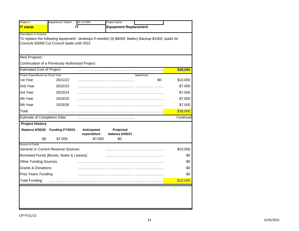| Project #                            | Department / Board                               | 02.13.5369  | Project Name                                                                                        |            |           |
|--------------------------------------|--------------------------------------------------|-------------|-----------------------------------------------------------------------------------------------------|------------|-----------|
| <b>IT equip</b>                      |                                                  | ΙT          | <b>Equipment Replacement</b>                                                                        |            |           |
| Description or Purpose               |                                                  |             |                                                                                                     |            |           |
|                                      |                                                  |             | To replace the following equipment: desktops if needed (3) \$6000; Battery Backup \$1000, Ipads for |            |           |
|                                      | Councils \$3000 Cut Council Ipads until 2022     |             |                                                                                                     |            |           |
|                                      |                                                  |             |                                                                                                     |            |           |
| New Program:                         |                                                  |             |                                                                                                     |            |           |
|                                      | Continuation of a Previously Authorized Project: |             |                                                                                                     |            |           |
| <b>Estimated Cost of Project:</b>    |                                                  |             |                                                                                                     |            | \$38,000  |
| Project Expenditures by Fiscal Year: |                                                  |             |                                                                                                     | department |           |
| 1st Year                             | 2021/22                                          |             |                                                                                                     | \$0        | \$10,000  |
| 2nd Year                             | 2022/23                                          |             |                                                                                                     |            | \$7,000   |
| 3rd Year                             | 2023/24                                          |             |                                                                                                     |            | \$7,000   |
| 4th Year                             | 2024/25                                          |             |                                                                                                     |            | \$7,000   |
| 5th Year                             | 2025/26                                          |             |                                                                                                     |            | \$7,000   |
| Total                                |                                                  |             |                                                                                                     |            | \$38,000  |
| <b>Estimate of Completion Date:</b>  |                                                  |             |                                                                                                     |            | Continual |
| <b>Project History</b>               |                                                  |             |                                                                                                     |            |           |
|                                      | Balance 6/30/20 Funding FY20/21                  | Anticipated | Projected                                                                                           |            |           |
|                                      |                                                  | expenditure | balance 6/30/21                                                                                     |            |           |
| \$0                                  | \$7,000                                          | \$7,000     | \$0                                                                                                 |            |           |
| Source of Funds                      | <b>General or Current Revenue Sources:</b>       |             |                                                                                                     |            | \$10,000  |
|                                      | Borrowed Funds [Bonds, Notes & Leases]:          |             |                                                                                                     |            | \$0       |
| <b>Other Funding Sources:</b>        |                                                  |             |                                                                                                     |            | \$0       |
| <b>Grants &amp; Donations:</b>       |                                                  |             |                                                                                                     |            | \$0       |
|                                      |                                                  |             |                                                                                                     |            |           |
| Prior Years' Funding:                |                                                  |             |                                                                                                     |            | \$0       |
| <b>Total Funding:</b>                |                                                  |             |                                                                                                     |            | \$10,000  |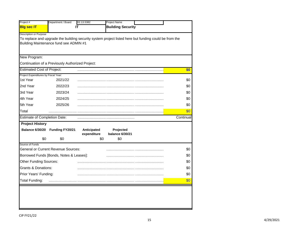| Project #                            | Department / Board                               | 02.13.5382  | Project Name                                                                                          |           |
|--------------------------------------|--------------------------------------------------|-------------|-------------------------------------------------------------------------------------------------------|-----------|
| <b>Blg sec IT</b>                    |                                                  | IΤ          | <b>Building Security</b>                                                                              |           |
| Description or Purpose               |                                                  |             |                                                                                                       |           |
|                                      |                                                  |             | To replace and upgrade the building security system project listed here but funding could be from the |           |
|                                      | Building Maintenance fund see ADMIN #1           |             |                                                                                                       |           |
|                                      |                                                  |             |                                                                                                       |           |
| New Program:                         |                                                  |             |                                                                                                       |           |
|                                      | Continuation of a Previously Authorized Project: |             |                                                                                                       |           |
| <b>Estimated Cost of Project:</b>    |                                                  |             |                                                                                                       | \$0       |
| Project Expenditures by Fiscal Year: |                                                  |             |                                                                                                       |           |
| 1st Year                             | 2021/22                                          |             |                                                                                                       | \$0       |
| 2nd Year                             | 2022/23                                          |             |                                                                                                       | \$0       |
| 3rd Year                             | 2023/24                                          |             |                                                                                                       | \$0       |
| 4th Year                             | 2024/25                                          |             |                                                                                                       | \$0       |
| 5th Year                             | 2025/26                                          |             |                                                                                                       | \$0       |
| Total                                |                                                  |             |                                                                                                       | \$0       |
| <b>Estimate of Completion Date:</b>  |                                                  |             |                                                                                                       | Continual |
| <b>Project History</b>               |                                                  |             |                                                                                                       |           |
|                                      | Balance 6/30/20 Funding FY20/21                  | Anticipated | Projected                                                                                             |           |
| \$0                                  | \$0                                              | expenditure | <b>balance 6/30/21</b><br>\$0<br>\$0                                                                  |           |
| Source of Funds                      |                                                  |             |                                                                                                       |           |
|                                      | <b>General or Current Revenue Sources:</b>       |             |                                                                                                       | \$0       |
|                                      | Borrowed Funds [Bonds, Notes & Leases]:          |             |                                                                                                       | \$0       |
| <b>Other Funding Sources:</b>        |                                                  |             |                                                                                                       | \$0       |
| <b>Grants &amp; Donations:</b>       |                                                  |             |                                                                                                       | \$0       |
| Prior Years' Funding:                |                                                  |             |                                                                                                       | \$0       |
|                                      |                                                  |             |                                                                                                       | \$0       |
| <b>Total Funding:</b>                |                                                  |             |                                                                                                       |           |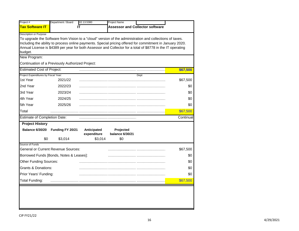| Project #                               | Department / Board                               | 02.13.5380                 | <b>Project Name</b>                 |                                                                                                                                                                                                                          |           |
|-----------------------------------------|--------------------------------------------------|----------------------------|-------------------------------------|--------------------------------------------------------------------------------------------------------------------------------------------------------------------------------------------------------------------------|-----------|
| <b>Tax Software IT</b>                  |                                                  | IT                         |                                     | <b>Assessor and Collector software</b>                                                                                                                                                                                   |           |
| <b>Description or Purpose</b>           |                                                  |                            |                                     |                                                                                                                                                                                                                          |           |
|                                         |                                                  |                            |                                     | To upgrade the Software from Vision to a "cloud" version of the administration and collections of taxes.                                                                                                                 |           |
|                                         |                                                  |                            |                                     | Including the ability to process online payments. Special pricing offered for commitment in January 2020.<br>Annual License is \$4389 per year for both Assessor and Collector for a total of \$8778 in the IT operating |           |
| budget.                                 |                                                  |                            |                                     |                                                                                                                                                                                                                          |           |
| New Program:                            |                                                  |                            |                                     |                                                                                                                                                                                                                          |           |
|                                         | Continuation of a Previously Authorized Project: |                            |                                     |                                                                                                                                                                                                                          |           |
| <b>Estimated Cost of Project:</b>       |                                                  |                            |                                     |                                                                                                                                                                                                                          | \$67,500  |
| Project Expenditures by Fiscal Year:    |                                                  |                            |                                     | Dept                                                                                                                                                                                                                     |           |
| 1st Year                                | 2021/22                                          |                            |                                     |                                                                                                                                                                                                                          | \$67,500  |
| 2nd Year                                | 2022/23                                          |                            |                                     |                                                                                                                                                                                                                          | \$0       |
| 3rd Year                                | 2023/24                                          |                            |                                     |                                                                                                                                                                                                                          | \$0       |
| 4th Year                                | 2024/25                                          |                            |                                     |                                                                                                                                                                                                                          | \$0       |
| 5th Year                                | 2025/26                                          |                            |                                     |                                                                                                                                                                                                                          | \$0       |
| Total                                   |                                                  |                            |                                     |                                                                                                                                                                                                                          | \$67,500  |
| Estimate of Completion Date:            |                                                  |                            |                                     |                                                                                                                                                                                                                          | Continual |
| <b>Project History</b>                  |                                                  |                            |                                     |                                                                                                                                                                                                                          |           |
| <b>Balance 6/30/20</b>                  | Funding FY 20/21                                 | Anticipated<br>expenditure | Projected<br><b>balance 6/30/21</b> |                                                                                                                                                                                                                          |           |
| \$0                                     | \$3,014                                          | \$3,014                    | \$0                                 |                                                                                                                                                                                                                          |           |
| Source of Funds                         | <b>General or Current Revenue Sources:</b>       |                            |                                     |                                                                                                                                                                                                                          | \$67,500  |
| Borrowed Funds [Bonds, Notes & Leases]: |                                                  |                            |                                     |                                                                                                                                                                                                                          | \$0       |
| <b>Other Funding Sources:</b>           |                                                  |                            |                                     |                                                                                                                                                                                                                          | \$0       |
| <b>Grants &amp; Donations:</b>          |                                                  |                            |                                     |                                                                                                                                                                                                                          | \$0       |
| Prior Years' Funding:                   |                                                  |                            |                                     |                                                                                                                                                                                                                          | \$0       |
| Total Funding:                          |                                                  |                            |                                     |                                                                                                                                                                                                                          | \$67,500  |
|                                         |                                                  |                            |                                     |                                                                                                                                                                                                                          |           |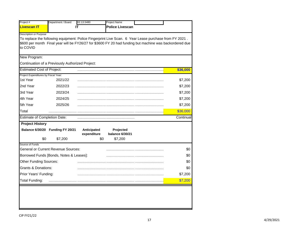| Project #                                      | Department / Board                               | 02.13.5480  | Project Name                                                                                            |           |
|------------------------------------------------|--------------------------------------------------|-------------|---------------------------------------------------------------------------------------------------------|-----------|
| <b>Livescan IT</b>                             |                                                  | IΤ          | <b>Police Livescan</b>                                                                                  |           |
| <b>Description or Purpose</b>                  |                                                  |             |                                                                                                         |           |
|                                                |                                                  |             | To replace the following equipment: Police Fingerprint Live Scan. 6 Year Lease purchase from FY 2021.   |           |
| to COVID                                       |                                                  |             | \$600 per month Final year will be FY26/27 for \$3600 FY 20 had funding but machine was backordered due |           |
|                                                |                                                  |             |                                                                                                         |           |
| New Program:                                   |                                                  |             |                                                                                                         |           |
|                                                | Continuation of a Previously Authorized Project: |             |                                                                                                         |           |
| <b>Estimated Cost of Project:</b>              |                                                  |             |                                                                                                         | \$36,000  |
| Project Expenditures by Fiscal Year:           |                                                  |             |                                                                                                         |           |
| 1st Year                                       | 2021/22                                          |             |                                                                                                         | \$7,200   |
| 2nd Year                                       | 2022/23                                          |             |                                                                                                         | \$7,200   |
| 3rd Year                                       | 2023/24                                          |             |                                                                                                         | \$7,200   |
| 4th Year                                       | 2024/25                                          |             |                                                                                                         | \$7,200   |
| 5th Year                                       | 2025/26                                          |             |                                                                                                         | \$7,200   |
| Total                                          |                                                  |             |                                                                                                         | \$36,000  |
| <b>Estimate of Completion Date:</b>            |                                                  |             |                                                                                                         | Continual |
| <b>Project History</b>                         |                                                  |             |                                                                                                         |           |
|                                                | Balance 6/30/20 Funding FY 20/21                 | Anticipated | Projected                                                                                               |           |
| \$0                                            | \$7,200                                          | expenditure | balance 6/30/21<br>\$0<br>\$7,200                                                                       |           |
| Source of Funds                                |                                                  |             |                                                                                                         |           |
|                                                | <b>General or Current Revenue Sources:</b>       |             |                                                                                                         | \$0       |
|                                                | Borrowed Funds [Bonds, Notes & Leases]:          |             |                                                                                                         | \$0       |
| <b>Other Funding Sources:</b>                  |                                                  |             |                                                                                                         | \$0       |
| <b>Grants &amp; Donations:</b>                 |                                                  |             |                                                                                                         | \$0       |
|                                                |                                                  |             |                                                                                                         | \$7,200   |
|                                                |                                                  |             |                                                                                                         | \$7,200   |
| Prior Years' Funding:<br><b>Total Funding:</b> |                                                  |             |                                                                                                         |           |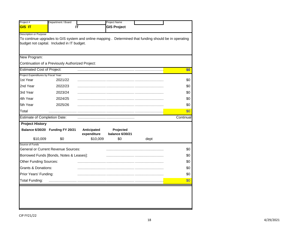|                                                | Department / Board                               |             | Project Name       |                                                                                                        |            |
|------------------------------------------------|--------------------------------------------------|-------------|--------------------|--------------------------------------------------------------------------------------------------------|------------|
| GIS IT                                         |                                                  | IΤ          | <b>GIS Project</b> |                                                                                                        |            |
| <b>Description or Purpose</b>                  |                                                  |             |                    |                                                                                                        |            |
|                                                |                                                  |             |                    | To continue upgrades to GIS system and online mapping . Determined that funding should be in operating |            |
|                                                | budget not capital. Included in IT budget.       |             |                    |                                                                                                        |            |
|                                                |                                                  |             |                    |                                                                                                        |            |
| New Program:                                   |                                                  |             |                    |                                                                                                        |            |
|                                                | Continuation of a Previously Authorized Project: |             |                    |                                                                                                        |            |
| <b>Estimated Cost of Project:</b>              |                                                  |             |                    |                                                                                                        | \$0        |
| Project Expenditures by Fiscal Year:           |                                                  |             |                    |                                                                                                        |            |
| 1st Year                                       | 2021/22                                          |             |                    |                                                                                                        | \$0        |
| 2nd Year                                       | 2022/23                                          |             |                    |                                                                                                        | \$0        |
| 3rd Year                                       | 2023/24                                          |             |                    |                                                                                                        | \$0        |
| 4th Year                                       | 2024/25                                          |             |                    |                                                                                                        | \$0        |
| 5th Year                                       | 2025/26                                          |             |                    |                                                                                                        | \$0        |
| Total                                          |                                                  |             |                    |                                                                                                        | \$0        |
| <b>Estimate of Completion Date:</b>            |                                                  |             |                    |                                                                                                        | Continual  |
| <b>Project History</b>                         |                                                  |             |                    |                                                                                                        |            |
|                                                | Balance 6/30/20 Funding FY 20/21                 | Anticipated | Projected          |                                                                                                        |            |
|                                                |                                                  | expenditure | balance 6/30/21    |                                                                                                        |            |
| \$10,009                                       | \$0                                              | \$10,009    | \$0                | dept                                                                                                   |            |
| Source of Funds                                |                                                  |             |                    |                                                                                                        |            |
|                                                | <b>General or Current Revenue Sources:</b>       |             |                    |                                                                                                        | \$0        |
|                                                | Borrowed Funds [Bonds, Notes & Leases]:          |             |                    |                                                                                                        | \$0        |
| <b>Other Funding Sources:</b>                  |                                                  |             |                    |                                                                                                        | \$0        |
| Grants & Donations:                            |                                                  |             |                    |                                                                                                        | \$0        |
| Prior Years' Funding:<br><b>Total Funding:</b> |                                                  |             |                    |                                                                                                        | \$0<br>\$0 |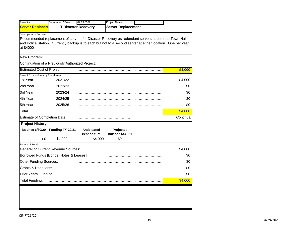| Project #                            | Department / Board                               | 02 13 5369                  | Project Name                                                                                                |           |
|--------------------------------------|--------------------------------------------------|-----------------------------|-------------------------------------------------------------------------------------------------------------|-----------|
| <b>Server Replacen</b>               |                                                  | <b>IT Disaster Recovery</b> | <b>Server Replacement</b>                                                                                   |           |
| Description or Purpose               |                                                  |                             |                                                                                                             |           |
|                                      |                                                  |                             | Recommended replacement of servers for Disaster Recovery as redundant servers at both the Town Hall         |           |
| at \$4000                            |                                                  |                             | and Police Station. Currently backup is to each but not to a second server at either location. One per year |           |
|                                      |                                                  |                             |                                                                                                             |           |
| New Program:                         |                                                  |                             |                                                                                                             |           |
|                                      | Continuation of a Previously Authorized Project: |                             |                                                                                                             |           |
| <b>Estimated Cost of Project:</b>    |                                                  |                             |                                                                                                             | \$4,000   |
| Project Expenditures by Fiscal Year: |                                                  |                             |                                                                                                             |           |
| 1st Year                             | 2021/22                                          |                             |                                                                                                             | \$4,000   |
| 2nd Year                             | 2022/23                                          |                             |                                                                                                             | \$0       |
| 3rd Year                             | 2023/24                                          |                             |                                                                                                             | \$0       |
| 4th Year                             | 2024/25                                          |                             |                                                                                                             | \$0       |
| 5th Year                             | 2025/26                                          |                             |                                                                                                             | \$0       |
| Total                                |                                                  |                             |                                                                                                             | \$4,000   |
| <b>Estimate of Completion Date:</b>  |                                                  |                             |                                                                                                             | Continual |
| <b>Project History</b>               |                                                  |                             |                                                                                                             |           |
|                                      | Balance 6/30/20 Funding FY 20/21                 | Anticipated                 | Projected                                                                                                   |           |
| \$0                                  | \$4,000                                          | expenditure<br>\$4,000      | balance 6/30/21<br>\$0                                                                                      |           |
| Source of Funds                      |                                                  |                             |                                                                                                             |           |
|                                      | <b>General or Current Revenue Sources:</b>       |                             |                                                                                                             | \$4,000   |
|                                      | Borrowed Funds [Bonds, Notes & Leases]:          |                             |                                                                                                             | \$0       |
| <b>Other Funding Sources:</b>        |                                                  |                             |                                                                                                             | \$0       |
| Grants & Donations:                  |                                                  |                             |                                                                                                             | \$0       |
| Prior Years' Funding:                |                                                  |                             |                                                                                                             | \$0       |
|                                      |                                                  |                             |                                                                                                             | \$4,000   |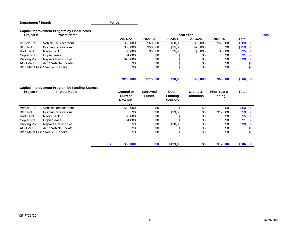#### **Department / Board:**

**Police**

#### **Capital Improvement Program by Fiscal Years**

| Project #       | <b>Project Name</b>                                   |                              |                                 |                                | <b>Fiscal Year</b>           |                                       |              | <b>Total</b> |
|-----------------|-------------------------------------------------------|------------------------------|---------------------------------|--------------------------------|------------------------------|---------------------------------------|--------------|--------------|
|                 |                                                       | 2021/22                      | 2022/23                         | 2023/24                        | 2024/25                      | 2025/26                               | <b>Total</b> |              |
| Vehicle Pol     | Vehicle Replacement                                   | \$60,000                     | \$60,000                        | \$60,000                       | \$60,000                     | \$60,000                              | \$300,000    |              |
| <b>Bldg Pol</b> | <b>Building renovations</b>                           | \$50,000                     | \$50,000                        | \$25,000                       | \$25,000                     | \$0                                   | \$150,000    |              |
| Radio Pol       | Radio Backup                                          | \$5,000                      | \$5,000                         | \$5,000                        | \$5,000                      | \$5,000                               | \$25,000     |              |
| Copier Pol      | Copier lease                                          | \$1,000                      | \$0                             | \$0                            | \$0                          | \$0                                   | \$1,000      |              |
| Parking Pol     | Repave Parking Lot                                    | \$90,000                     | \$0                             | \$0                            | \$0                          | \$0                                   | \$90,000     |              |
| ACO Veh         | ACO Vehicle update                                    | \$0                          | \$0                             | \$0                            | \$0                          | \$0                                   | \$0          |              |
|                 | <b>Bldg Maint POL Stairwell Repairs</b>               | \$0                          | \$0                             | \$0                            | \$0                          | \$0                                   | \$0          |              |
|                 |                                                       | \$206,000                    | \$115,000                       | \$90,000                       | \$90,000                     | \$65,000                              | \$566,000    |              |
|                 | <b>Capital Improvement Program by Funding Sources</b> |                              |                                 |                                |                              |                                       |              |              |
| Project#        | <b>Project Name</b>                                   | General or<br><b>Current</b> | <b>Borrowed</b><br><b>Funds</b> | <b>Other</b><br><b>Funding</b> | Grants &<br><b>Donations</b> | <b>Prior Year's</b><br><b>Funding</b> | <b>Total</b> |              |
|                 |                                                       | <b>Revenue</b>               |                                 | <b>Sources</b>                 |                              |                                       |              |              |
|                 |                                                       | <b>Sources</b>               |                                 |                                |                              |                                       |              |              |
| Vehicle Pol     | Vehicle Replacement                                   | \$60,000                     | \$0                             | \$0                            | \$0                          | \$0                                   | \$60,000     |              |
| <b>Bldg Pol</b> | <b>Building renovations</b>                           | \$0                          | \$0                             | \$33,000                       | \$0                          | \$17,000                              | \$50,000     |              |
| Radio Pol       | Radio Backup                                          | \$5,000                      | \$0                             | \$0                            | \$0                          | \$0                                   | \$5,000      |              |
| Copier Pol      | Copier lease                                          | \$1,000                      | \$0                             | \$0                            | \$0                          | \$0                                   | \$1,000      |              |
| Parking Pol     | Repave Parking Lot                                    | \$0                          | \$0                             | \$90,000                       | \$0                          | \$0                                   | \$90,000     |              |
| ACO Veh         | ACO Vehicle update                                    | \$0                          | \$0                             | \$0                            | \$0                          | \$0                                   | \$0          |              |
|                 | <b>Bldg Maint POL Stairwell Repairs</b>               | \$0                          | \$0                             | \$0                            | \$0                          | \$0                                   | \$0          |              |
|                 |                                                       | \$0<br>\$66,000              | \$0                             | \$123,000                      | \$0                          | \$17,000                              | \$206,000    |              |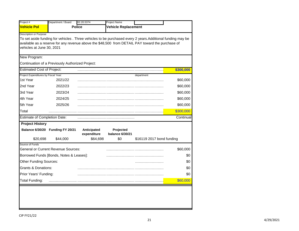| Project #                            | Department / Board                                                                                          | 02.20.5374                 | Project Name                 |                           |           |
|--------------------------------------|-------------------------------------------------------------------------------------------------------------|----------------------------|------------------------------|---------------------------|-----------|
| <b>Vehicle Pol</b>                   | <b>Police</b>                                                                                               |                            | <b>Vehicle Replacement</b>   |                           |           |
| <b>Description or Purpose</b>        |                                                                                                             |                            |                              |                           |           |
|                                      | To set aside funding for vehicles . Three vehicles to be purchased every 2 years. Additional funding may be |                            |                              |                           |           |
|                                      | available as a reserve for any revenue above the \$48,500 from DETAIL PAY toward the purchase of            |                            |                              |                           |           |
| vehicles at June 30, 2021            |                                                                                                             |                            |                              |                           |           |
| New Program:                         |                                                                                                             |                            |                              |                           |           |
|                                      | Continuation of a Previously Authorized Project:                                                            |                            |                              |                           |           |
| <b>Estimated Cost of Project:</b>    |                                                                                                             |                            |                              |                           | \$300,000 |
| Project Expenditures by Fiscal Year: |                                                                                                             |                            |                              | department                |           |
| 1st Year                             | 2021/22                                                                                                     |                            |                              |                           | \$60,000  |
| 2nd Year                             | 2022/23                                                                                                     |                            |                              |                           | \$60,000  |
| 3rd Year                             | 2023/24                                                                                                     |                            |                              |                           | \$60,000  |
| 4th Year                             | 2024/25                                                                                                     |                            |                              |                           | \$60,000  |
| 5th Year                             | 2025/26                                                                                                     |                            |                              |                           | \$60,000  |
| Total                                |                                                                                                             |                            |                              |                           | \$300,000 |
| <b>Estimate of Completion Date:</b>  |                                                                                                             |                            |                              |                           | Continual |
| <b>Project History</b>               |                                                                                                             |                            |                              |                           |           |
|                                      | Balance 6/30/20 Funding FY 20/21                                                                            | Anticipated<br>expenditure | Projected<br>balance 6/30/21 |                           |           |
| \$20,698                             | \$44,000                                                                                                    | \$64,698                   | \$0                          | \$16119 2017 bond funding |           |
| Source of Funds                      | <b>General or Current Revenue Sources:</b>                                                                  |                            |                              |                           | \$60,000  |
|                                      | Borrowed Funds [Bonds, Notes & Leases]:                                                                     |                            |                              |                           | \$0       |
| Other Funding Sources:               |                                                                                                             |                            |                              |                           | \$0       |
| <b>Grants &amp; Donations:</b>       |                                                                                                             |                            |                              |                           | \$0       |
| Prior Years' Funding:                |                                                                                                             |                            |                              |                           | \$0       |
| <b>Total Funding:</b>                |                                                                                                             |                            |                              |                           |           |
|                                      |                                                                                                             |                            |                              |                           | \$60,000  |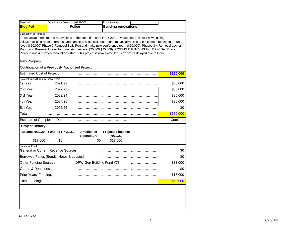|                                      | Department / Board                               | 02.20.5601                 | <b>Project Name</b>                 |                                                                                                                                                                                                                                       |           |
|--------------------------------------|--------------------------------------------------|----------------------------|-------------------------------------|---------------------------------------------------------------------------------------------------------------------------------------------------------------------------------------------------------------------------------------|-----------|
| <b>Bldg Pol</b>                      |                                                  | <b>Police</b>              | <b>Building renovations</b>         |                                                                                                                                                                                                                                       |           |
| <b>Description or Purpose</b>        |                                                  |                            |                                     |                                                                                                                                                                                                                                       |           |
|                                      |                                                  |                            |                                     | To set aside funds for the renovations of the detention area in FY 20/21 Phase one Build two new holding                                                                                                                              |           |
|                                      |                                                  |                            |                                     | cells, processing room upgrades, and handicap accessible bathroom, move sallyport and cut cement footing to ground<br>level. (\$50,000) Phase 2 Remodel Sally Port and make new conference room (\$50,000), Phases 3-4 Remodel Locker |           |
|                                      |                                                  |                            |                                     | Room and Basement Level for foundation repairs(\$25,000;\$25,000). POSSIBLE FUNDING thru DPW Gen Building                                                                                                                             |           |
|                                      |                                                  |                            |                                     | Project Fund #78 when renovations start. This project is now slated for FY 21/22 as delayed due to Covid.                                                                                                                             |           |
|                                      |                                                  |                            |                                     |                                                                                                                                                                                                                                       |           |
| New Program:                         |                                                  |                            |                                     |                                                                                                                                                                                                                                       |           |
|                                      | Continuation of a Previously Authorized Project: |                            |                                     |                                                                                                                                                                                                                                       |           |
| <b>Estimated Cost of Project:</b>    |                                                  |                            |                                     |                                                                                                                                                                                                                                       | \$150,000 |
| Project Expenditures by Fiscal Year: |                                                  |                            |                                     |                                                                                                                                                                                                                                       |           |
| 1st Year                             | 2021/22                                          |                            |                                     |                                                                                                                                                                                                                                       | \$50,000  |
| 2nd Year                             | 2022/23                                          |                            |                                     |                                                                                                                                                                                                                                       | \$50,000  |
| 3rd Year                             | 2023/24                                          |                            |                                     |                                                                                                                                                                                                                                       | \$25,000  |
| 4th Year                             | 2024/25                                          |                            |                                     |                                                                                                                                                                                                                                       | \$25,000  |
| 5th Year                             | 2025/26                                          |                            |                                     |                                                                                                                                                                                                                                       | \$0       |
| Total                                |                                                  |                            |                                     |                                                                                                                                                                                                                                       | \$150,000 |
| <b>Estimate of Completion Date:</b>  |                                                  |                            |                                     |                                                                                                                                                                                                                                       | Continual |
| <b>Project History</b>               |                                                  |                            |                                     |                                                                                                                                                                                                                                       |           |
|                                      | Balance 6/30/20 Funding FY 20/21                 | Anticipated<br>expenditure | <b>Projected balance</b><br>6/30/21 |                                                                                                                                                                                                                                       |           |
| \$17,000                             | \$0                                              | \$0                        | \$17,000                            |                                                                                                                                                                                                                                       |           |
| Source of Funds                      |                                                  |                            |                                     |                                                                                                                                                                                                                                       |           |
|                                      | <b>General or Current Revenue Sources:</b>       |                            |                                     |                                                                                                                                                                                                                                       | \$0       |
|                                      | Borrowed Funds [Bonds, Notes & Leases]:          |                            |                                     |                                                                                                                                                                                                                                       | \$0       |
| Other Funding Sources:               |                                                  | DPW Gen Building Fund #78  |                                     |                                                                                                                                                                                                                                       | \$33,000  |
| Grants & Donations:                  |                                                  |                            |                                     |                                                                                                                                                                                                                                       | \$0       |
|                                      |                                                  |                            |                                     |                                                                                                                                                                                                                                       | \$17,000  |
| Prior Years' Funding:                |                                                  |                            |                                     |                                                                                                                                                                                                                                       |           |

u.

٠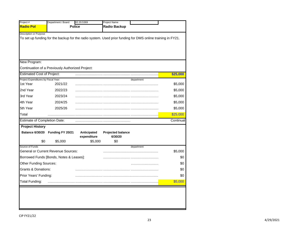| Project #                                        | Department / Board                               | 02.20.5369                 | Project Name                                                                                               |            |           |
|--------------------------------------------------|--------------------------------------------------|----------------------------|------------------------------------------------------------------------------------------------------------|------------|-----------|
| <b>Radio Pol</b>                                 |                                                  | <b>Police</b>              | <b>Radio Backup</b>                                                                                        |            |           |
| Description or Purpose                           |                                                  |                            | To set up funding for the backup for the radio system. Used prior funding for DMS online training in FY21. |            |           |
| New Program:                                     |                                                  |                            |                                                                                                            |            |           |
|                                                  | Continuation of a Previously Authorized Project: |                            |                                                                                                            |            |           |
| <b>Estimated Cost of Project:</b>                |                                                  |                            |                                                                                                            |            | \$25,000  |
| Project Expenditures by Fiscal Year:<br>1st Year | 2021/22                                          |                            |                                                                                                            | department | \$5,000   |
| 2nd Year                                         | 2022/23                                          |                            |                                                                                                            |            | \$5,000   |
| 3rd Year                                         | 2023/24                                          |                            |                                                                                                            |            | \$5,000   |
| 4th Year                                         | 2024/25                                          |                            |                                                                                                            |            | \$5,000   |
| 5th Year                                         | 2025/26                                          |                            |                                                                                                            |            | \$5,000   |
| Total                                            |                                                  |                            |                                                                                                            |            | \$25,000  |
| <b>Estimate of Completion Date:</b>              |                                                  |                            |                                                                                                            |            | Continual |
| <b>Project History</b>                           |                                                  |                            |                                                                                                            |            |           |
|                                                  | Balance 6/30/20 Funding FY 20/21                 | Anticipated<br>expenditure | <b>Projected balance</b><br>6/30/20<br>\$0                                                                 |            |           |
| \$0<br>Source of Funds                           | \$5,000                                          | \$5,000                    |                                                                                                            | department |           |
|                                                  | <b>General or Current Revenue Sources:</b>       |                            |                                                                                                            |            | \$5,000   |
|                                                  | Borrowed Funds [Bonds, Notes & Leases]:          |                            |                                                                                                            |            | \$0       |
| Other Funding Sources:                           |                                                  |                            |                                                                                                            |            | \$0       |
| Grants & Donations:                              |                                                  |                            |                                                                                                            |            | \$0       |
| Prior Years' Funding:                            |                                                  |                            |                                                                                                            |            | \$0       |
|                                                  |                                                  |                            |                                                                                                            |            | \$5,000   |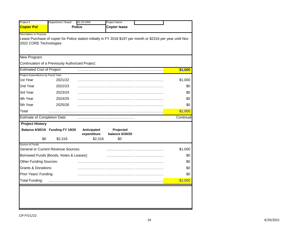| Project #                                      | Department / Board                               | 02.20.5369    | Project Name                                                                                                  |           |
|------------------------------------------------|--------------------------------------------------|---------------|---------------------------------------------------------------------------------------------------------------|-----------|
| <b>Copier Pol</b>                              |                                                  | <b>Police</b> | <b>Copier lease</b>                                                                                           |           |
| Description or Purpose                         |                                                  |               |                                                                                                               |           |
|                                                |                                                  |               | Lease Purchase of copier for Police station initially in FY 2018 \$197 per month or \$2316 per year until Nov |           |
| 2022 CORE Technologies                         |                                                  |               |                                                                                                               |           |
|                                                |                                                  |               |                                                                                                               |           |
| New Program:                                   |                                                  |               |                                                                                                               |           |
|                                                | Continuation of a Previously Authorized Project: |               |                                                                                                               |           |
| <b>Estimated Cost of Project:</b>              |                                                  |               |                                                                                                               | \$1,000   |
| Project Expenditures by Fiscal Year:           |                                                  |               |                                                                                                               |           |
| 1st Year                                       | 2021/22                                          |               |                                                                                                               | \$1,000   |
| 2nd Year                                       | 2022/23                                          |               |                                                                                                               | \$0       |
| 3rd Year                                       | 2023/24                                          |               |                                                                                                               | \$0       |
| 4th Year                                       | 2024/25                                          |               |                                                                                                               | \$0       |
| 5th Year                                       | 2025/26                                          |               |                                                                                                               | \$0       |
| Total                                          |                                                  |               |                                                                                                               | \$1,000   |
| <b>Estimate of Completion Date:</b>            |                                                  |               |                                                                                                               | Continual |
| <b>Project History</b>                         |                                                  |               |                                                                                                               |           |
|                                                | Balance 6/30/19 Funding FY 19/20                 | Anticipated   | Projected                                                                                                     |           |
|                                                |                                                  | expenditure   | balance 6/30/20                                                                                               |           |
| \$0<br>Source of Funds                         | \$2,316                                          | \$2,316       | \$0                                                                                                           |           |
|                                                | <b>General or Current Revenue Sources:</b>       |               |                                                                                                               | \$1,000   |
|                                                | Borrowed Funds [Bonds, Notes & Leases]:          |               |                                                                                                               | \$0       |
| Other Funding Sources:                         |                                                  |               |                                                                                                               | \$0       |
| Grants & Donations:                            |                                                  |               |                                                                                                               | \$0       |
|                                                |                                                  |               |                                                                                                               | \$0       |
|                                                |                                                  |               |                                                                                                               |           |
| Prior Years' Funding:<br><b>Total Funding:</b> |                                                  |               |                                                                                                               | \$1,000   |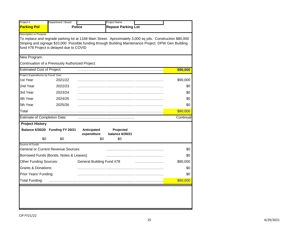| Project #                            | Department / Board                               |                            | <b>Project Name</b>                                                                                                                                                                                              |           |
|--------------------------------------|--------------------------------------------------|----------------------------|------------------------------------------------------------------------------------------------------------------------------------------------------------------------------------------------------------------|-----------|
| <b>Parking Pol</b>                   |                                                  | <b>Police</b>              | <b>Repave Parking Lot</b>                                                                                                                                                                                        |           |
| Description or Purpose               | fund #78 Project is delayed due to COVID         |                            | To replace and regrade parking lot at 1168 Main Street. Aproximately 3,000 sq yds. Construction \$80,000<br>Striping and signage \$10,000 Possible funding through Building Maintenance Project DPW Gen Building |           |
| New Program:                         |                                                  |                            |                                                                                                                                                                                                                  |           |
|                                      | Continuation of a Previously Authorized Project: |                            |                                                                                                                                                                                                                  |           |
| <b>Estimated Cost of Project:</b>    |                                                  |                            |                                                                                                                                                                                                                  | \$90,000  |
| Project Expenditures by Fiscal Year: |                                                  |                            |                                                                                                                                                                                                                  |           |
| 1st Year                             | 2021/22                                          |                            |                                                                                                                                                                                                                  | \$90,000  |
| 2nd Year                             | 2022/23                                          |                            |                                                                                                                                                                                                                  | \$0       |
| 3rd Year                             | 2023/24                                          |                            |                                                                                                                                                                                                                  | \$0       |
| 4th Year                             | 2024/25                                          |                            |                                                                                                                                                                                                                  | \$0       |
| 5th Year                             | 2025/26                                          |                            |                                                                                                                                                                                                                  | \$0       |
| Total                                |                                                  |                            |                                                                                                                                                                                                                  | \$90,000  |
| <b>Estimate of Completion Date:</b>  |                                                  |                            |                                                                                                                                                                                                                  | Continual |
| <b>Project History</b>               |                                                  |                            |                                                                                                                                                                                                                  |           |
|                                      | Balance 6/30/20 Funding FY 20/21                 | Anticipated<br>expenditure | Projected<br><b>balance 6/30/21</b>                                                                                                                                                                              |           |
| \$0                                  | \$0                                              |                            | \$0<br>\$0                                                                                                                                                                                                       |           |
| Source of Funds                      | General or Current Revenue Sources:              |                            |                                                                                                                                                                                                                  | \$0       |
|                                      | Borrowed Funds [Bonds, Notes & Leases]:          |                            |                                                                                                                                                                                                                  | \$0       |
| Other Funding Sources:               |                                                  | General Building Fund #78  |                                                                                                                                                                                                                  | \$90,000  |
| <b>Grants &amp; Donations:</b>       |                                                  |                            |                                                                                                                                                                                                                  | \$0       |
| Prior Years' Funding:                |                                                  |                            |                                                                                                                                                                                                                  | \$0       |
|                                      |                                                  |                            |                                                                                                                                                                                                                  |           |
| <b>Total Funding:</b>                |                                                  |                            |                                                                                                                                                                                                                  | \$90,000  |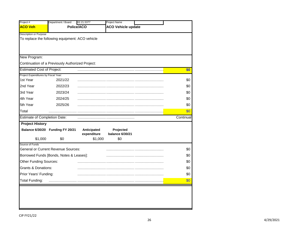|                                                | Department / Board                               | 02.21.5377                 | Project Name                 |            |
|------------------------------------------------|--------------------------------------------------|----------------------------|------------------------------|------------|
| <b>ACO Veh</b>                                 |                                                  | Police/ACO                 | <b>ACO Vehicle update</b>    |            |
| <b>Description or Purpose</b>                  |                                                  |                            |                              |            |
|                                                | To replace the following equipment: ACO vehicle  |                            |                              |            |
|                                                |                                                  |                            |                              |            |
| New Program:                                   |                                                  |                            |                              |            |
|                                                | Continuation of a Previously Authorized Project: |                            |                              |            |
| <b>Estimated Cost of Project:</b>              |                                                  |                            |                              | \$0        |
| Project Expenditures by Fiscal Year:           |                                                  |                            |                              |            |
| 1st Year                                       | 2021/22                                          |                            |                              | \$0        |
| 2nd Year                                       | 2022/23                                          |                            |                              | \$0        |
| 3rd Year                                       | 2023/24                                          |                            |                              | \$0        |
| 4th Year                                       | 2024/25                                          |                            |                              | \$0        |
| 5th Year                                       | 2025/26                                          |                            |                              | \$0        |
| Total                                          |                                                  |                            |                              | \$0        |
| <b>Estimate of Completion Date:</b>            |                                                  |                            |                              | Continual  |
| <b>Project History</b>                         |                                                  |                            |                              |            |
|                                                | Balance 6/30/20 Funding FY 20/21                 | Anticipated<br>expenditure | Projected<br>balance 6/30/21 |            |
|                                                |                                                  |                            |                              |            |
| \$1,000                                        | \$0                                              | \$1,000                    | \$0                          |            |
| Source of Funds                                |                                                  |                            |                              |            |
|                                                | <b>General or Current Revenue Sources:</b>       |                            |                              | \$0        |
|                                                | Borrowed Funds [Bonds, Notes & Leases]:          |                            |                              | \$0        |
| Other Funding Sources:                         |                                                  |                            |                              | \$0        |
| <b>Grants &amp; Donations:</b>                 |                                                  |                            |                              | \$0        |
| Prior Years' Funding:<br><b>Total Funding:</b> |                                                  |                            |                              | \$0<br>\$0 |

L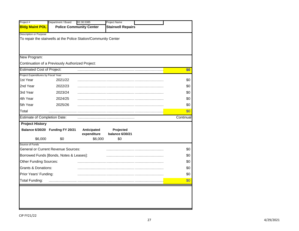| Project #                                      | Department / Board                                              | 02.30.5385                     | Project Name             |            |
|------------------------------------------------|-----------------------------------------------------------------|--------------------------------|--------------------------|------------|
| <b>Bldg Maint POL</b>                          |                                                                 | <b>Police Community Center</b> | <b>Stairwell Repairs</b> |            |
| Description or Purpose                         |                                                                 |                                |                          |            |
|                                                | To repair the stairwells at the Police Station/Community Center |                                |                          |            |
|                                                |                                                                 |                                |                          |            |
|                                                |                                                                 |                                |                          |            |
| New Program:                                   |                                                                 |                                |                          |            |
|                                                | Continuation of a Previously Authorized Project:                |                                |                          |            |
| <b>Estimated Cost of Project:</b>              |                                                                 |                                |                          | \$0        |
| Project Expenditures by Fiscal Year:           |                                                                 |                                |                          |            |
| 1st Year                                       | 2021/22                                                         |                                |                          | \$0        |
| 2nd Year                                       | 2022/23                                                         |                                |                          | \$0        |
| 3rd Year                                       | 2023/24                                                         |                                |                          | \$0        |
| 4th Year                                       | 2024/25                                                         |                                |                          | \$0        |
| 5th Year                                       | 2025/26                                                         |                                |                          | \$0        |
| Total                                          |                                                                 |                                |                          | \$0        |
|                                                |                                                                 |                                |                          |            |
| <b>Estimate of Completion Date:</b>            |                                                                 |                                |                          |            |
| <b>Project History</b>                         |                                                                 |                                |                          | Continual  |
|                                                | Balance 6/30/20 Funding FY 20/21                                | Anticipated                    | Projected                |            |
|                                                |                                                                 | expenditure                    | <b>balance 6/30/21</b>   |            |
| \$6,000<br>Source of Funds                     | \$0                                                             | \$6,000                        | \$0                      |            |
|                                                | <b>General or Current Revenue Sources:</b>                      |                                |                          | \$0        |
|                                                | Borrowed Funds [Bonds, Notes & Leases]:                         |                                |                          | \$0        |
| Other Funding Sources:                         |                                                                 |                                |                          | \$0        |
| <b>Grants &amp; Donations:</b>                 |                                                                 |                                |                          | \$0        |
|                                                |                                                                 |                                |                          |            |
| Prior Years' Funding:<br><b>Total Funding:</b> |                                                                 |                                |                          | \$0<br>\$0 |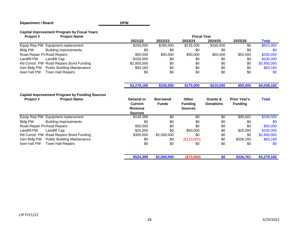## **Department / Board:**

**DPW**

## **Capital Improvement Program by Fiscal Years**

| <b>Project Name</b><br>Project#                                                          |                                                           |                                 | <b>Fiscal Year</b>                               |                              |                                       |              |
|------------------------------------------------------------------------------------------|-----------------------------------------------------------|---------------------------------|--------------------------------------------------|------------------------------|---------------------------------------|--------------|
|                                                                                          | 2021/22                                                   | 2022/23                         | 2023/24                                          | 2024/25                      | 2025/26                               | <b>Total</b> |
| Equip Rep PW<br>Equipment replacement                                                    | \$245,000                                                 | \$285,000                       | \$125,000                                        | \$160,000                    | $\overline{50}$                       | \$815,000    |
| <b>Bldg PW</b><br><b>Building Improvements</b>                                           | \$0                                                       | \$0                             | \$0                                              | \$0                          | \$0                                   | \$0          |
| Road Repair PV Road Repairs                                                              | \$50,000                                                  | \$50,000                        | \$50,000                                         | \$50,000                     | \$50,000                              | \$250,000    |
| Landfill PW<br>Landfill Cap                                                              | \$100,000                                                 | \$0                             | \$0                                              | \$0                          | \$0                                   | \$100,000    |
| Rd Constr. PW Road Repairs Bond Funding                                                  | \$2,800,000                                               | \$0                             | \$0                                              | \$0                          | \$0                                   | \$2,800,000  |
| Gen Bldg PW<br><b>Public Building Maintenance</b>                                        | \$83,160                                                  | \$0                             | \$0                                              | \$0                          | \$0                                   | \$83,160     |
| town hall PW<br>Town Hall Repairs                                                        | \$0                                                       | \$0                             | \$0                                              | \$0                          | \$0                                   | \$0          |
|                                                                                          | \$3,278,160                                               | \$335,000                       | \$175,000                                        | \$210,000                    | \$50,000                              | \$4,048,160  |
| <b>Capital Improvement Program by Funding Sources</b><br>Project#<br><b>Project Name</b> | General or<br><b>Current</b><br>Revenue<br><b>Sources</b> | <b>Borrowed</b><br><b>Funds</b> | <b>Other</b><br><b>Funding</b><br><b>Sources</b> | Grants &<br><b>Donations</b> | <b>Prior Year's</b><br><b>Funding</b> | <b>Total</b> |
| Equip Rep PW<br>Equipment replacement                                                    | \$149,399                                                 | \$0                             | $\overline{50}$                                  | \$0                          | \$95,601                              | \$245,000    |
| <b>Bldg PW</b><br><b>Building Improvements</b>                                           | \$0                                                       | \$0                             | \$0                                              | \$0                          | \$0                                   | \$0          |
| Road Repair PV Road Repairs                                                              | \$50,000                                                  | \$0                             | \$0                                              | \$0                          | \$0                                   | \$50,000     |
| Landfill PW<br>Landfill Cap                                                              | \$25,000                                                  | \$0                             | \$50,000                                         | \$0                          | \$25,000                              | \$100,000    |
| Rd Constr. PW Road Repairs Bond Funding                                                  | \$300,000                                                 | \$2,500,000                     | \$0                                              | \$0                          | \$0                                   | \$2,800,000  |
| Gen Bldg PW<br><b>Public Building Maintenance</b>                                        | \$0                                                       | \$0                             | (\$123,000)                                      | \$0                          | \$206,160                             | \$83,160     |
| town hall PW<br>Town Hall Repairs                                                        | \$0                                                       | \$0                             | \$0                                              | \$0                          | \$0                                   | \$0          |
|                                                                                          | \$524,399                                                 | \$2,500,000                     | (\$73,000)                                       | \$0                          | \$326,761                             | \$3,278,160  |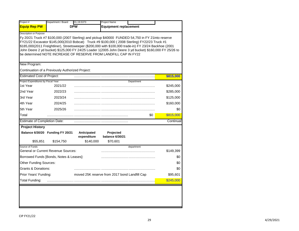| Project #                            | Department / Board                               | 01.19.5373                 | <b>Project Name</b>                                                                                                                                                                                                                                                                                         |     |           |
|--------------------------------------|--------------------------------------------------|----------------------------|-------------------------------------------------------------------------------------------------------------------------------------------------------------------------------------------------------------------------------------------------------------------------------------------------------------|-----|-----------|
| <b>Equip Rep PW</b>                  |                                                  | <b>DPW</b>                 | <b>Equipment replacement</b>                                                                                                                                                                                                                                                                                |     |           |
| <b>Description or Purpose</b>        |                                                  |                            | Fy 20/21 Truck #7 \$100,000 (2007 Sterling) and pickup \$40000 FUNDED 54,750 in FY 21into reserve<br>FY21/22 Excavator \$145,000(2010 Bobcat) Truck #9 \$100,000 (2008 Sterling) FY22/23 Truck #1<br>\$185,000(2011 Freightliner), Streetsweeper (\$200,000 with \$100,000 trade-in) FY 23/24 Backhoe (2001 |     |           |
|                                      |                                                  |                            | John Deere 2 yd bucket) \$125,000 FY 24/25 Loader 1(2005 John Deere 3 yd bucket) \$160,000 FY 25/26 to                                                                                                                                                                                                      |     |           |
|                                      |                                                  |                            | be determined NOTE INCREASE OF RESERVE FROM LANDFILL CAP IN FY22                                                                                                                                                                                                                                            |     |           |
| New Program:                         |                                                  |                            |                                                                                                                                                                                                                                                                                                             |     |           |
|                                      | Continuation of a Previously Authorized Project: |                            |                                                                                                                                                                                                                                                                                                             |     |           |
| <b>Estimated Cost of Project:</b>    |                                                  |                            |                                                                                                                                                                                                                                                                                                             |     | \$815,000 |
| Project Expenditures by Fiscal Year: |                                                  |                            | Department                                                                                                                                                                                                                                                                                                  |     |           |
| 1st Year                             | 2021/22                                          |                            |                                                                                                                                                                                                                                                                                                             |     | \$245,000 |
| 2nd Year                             | 2022/23                                          |                            |                                                                                                                                                                                                                                                                                                             |     | \$285,000 |
| 3rd Year                             | 2023/24                                          |                            |                                                                                                                                                                                                                                                                                                             |     | \$125,000 |
| 4th Year                             | 2024/25                                          |                            |                                                                                                                                                                                                                                                                                                             |     | \$160,000 |
| 5th Year                             | 2025/26                                          |                            |                                                                                                                                                                                                                                                                                                             |     | \$0       |
| Total                                |                                                  |                            |                                                                                                                                                                                                                                                                                                             | \$0 | \$815,000 |
| <b>Estimate of Completion Date:</b>  |                                                  |                            |                                                                                                                                                                                                                                                                                                             |     | Continual |
| <b>Project History</b>               |                                                  |                            |                                                                                                                                                                                                                                                                                                             |     |           |
|                                      | Balance 6/30/20 Funding FY 20/21                 | Anticipated<br>expenditure | Projected<br>balance 6/30/21                                                                                                                                                                                                                                                                                |     |           |
| \$55,851                             | \$154,750                                        | \$140,000                  | \$70,601                                                                                                                                                                                                                                                                                                    |     |           |
| Source of Funds                      |                                                  |                            | department                                                                                                                                                                                                                                                                                                  |     |           |
|                                      | General or Current Revenue Sources:              |                            |                                                                                                                                                                                                                                                                                                             |     | \$149,399 |
|                                      | Borrowed Funds [Bonds, Notes & Leases]:          |                            |                                                                                                                                                                                                                                                                                                             |     | \$0       |
| <b>Other Funding Sources:</b>        |                                                  |                            |                                                                                                                                                                                                                                                                                                             |     | \$0       |
| Grants & Donations:                  |                                                  |                            |                                                                                                                                                                                                                                                                                                             |     | \$0       |
|                                      |                                                  |                            | moved 25K reserve from 2017 bond Landfill Cap                                                                                                                                                                                                                                                               |     | \$95,601  |
| Prior Years' Funding:                |                                                  |                            |                                                                                                                                                                                                                                                                                                             |     | \$245,000 |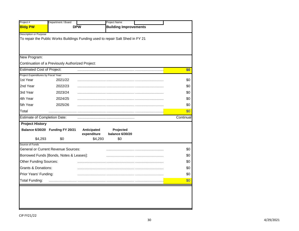| Project #                                        | Department / Board                               |                                       | Project Name                                                                   |           |
|--------------------------------------------------|--------------------------------------------------|---------------------------------------|--------------------------------------------------------------------------------|-----------|
| <b>Bldg PW</b>                                   |                                                  | <b>DPW</b>                            | <b>Building Improvements</b>                                                   |           |
| <b>Description or Purpose</b>                    |                                                  |                                       | To repair the Public Works Buildings Funding used to repair Salt Shed in FY 21 |           |
| New Program:                                     |                                                  |                                       |                                                                                |           |
|                                                  | Continuation of a Previously Authorized Project: |                                       |                                                                                |           |
| <b>Estimated Cost of Project:</b>                |                                                  |                                       |                                                                                | \$0       |
| Project Expenditures by Fiscal Year:<br>1st Year | 2021/22                                          |                                       |                                                                                | \$0       |
| 2nd Year                                         | 2022/23                                          |                                       |                                                                                | \$0       |
| 3rd Year                                         | 2023/24                                          |                                       |                                                                                | \$0       |
| 4th Year                                         | 2024/25                                          |                                       |                                                                                | \$0       |
| 5th Year                                         | 2025/26                                          |                                       |                                                                                | \$0       |
| Total                                            |                                                  |                                       |                                                                                | \$0       |
| <b>Estimate of Completion Date:</b>              |                                                  |                                       |                                                                                | Continual |
| <b>Project History</b><br>\$4,293                | Balance 6/30/20 Funding FY 20/21<br>\$0          | Anticipated<br>expenditure<br>\$4,293 | Projected<br><b>balance 6/30/20</b><br>\$0                                     |           |
| Source of Funds                                  |                                                  |                                       |                                                                                |           |
|                                                  | <b>General or Current Revenue Sources:</b>       |                                       |                                                                                | \$0       |
|                                                  | Borrowed Funds [Bonds, Notes & Leases]:          |                                       |                                                                                | \$0       |
| Other Funding Sources:                           |                                                  |                                       |                                                                                | \$0       |
|                                                  |                                                  |                                       |                                                                                | \$0       |
| <b>Grants &amp; Donations:</b>                   |                                                  |                                       |                                                                                | \$0       |
| Prior Years' Funding:                            |                                                  |                                       |                                                                                |           |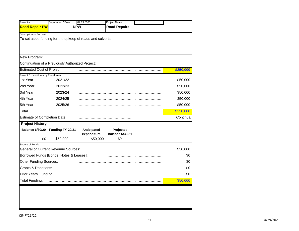| Project #                                        | Department / Board                                         | 02.19.5365                 | Project Name                 |           |
|--------------------------------------------------|------------------------------------------------------------|----------------------------|------------------------------|-----------|
| <b>Road Repair PW</b>                            |                                                            | <b>DPW</b>                 | <b>Road Repairs</b>          |           |
| Description or Purpose                           |                                                            |                            |                              |           |
|                                                  | To set aside funding for the upkeep of roads and culverts. |                            |                              |           |
|                                                  |                                                            |                            |                              |           |
|                                                  |                                                            |                            |                              |           |
| New Program:                                     |                                                            |                            |                              |           |
|                                                  | Continuation of a Previously Authorized Project:           |                            |                              |           |
| <b>Estimated Cost of Project:</b>                |                                                            |                            |                              | \$250,000 |
| Project Expenditures by Fiscal Year:<br>1st Year | 2021/22                                                    |                            |                              | \$50,000  |
|                                                  |                                                            |                            |                              |           |
| 2nd Year                                         | 2022/23                                                    |                            |                              | \$50,000  |
| 3rd Year                                         | 2023/24                                                    |                            |                              | \$50,000  |
| 4th Year                                         | 2024/25                                                    |                            |                              | \$50,000  |
| 5th Year                                         | 2025/26                                                    |                            |                              | \$50,000  |
| Total                                            |                                                            |                            |                              | \$250,000 |
| <b>Estimate of Completion Date:</b>              |                                                            |                            |                              | Continual |
| <b>Project History</b>                           |                                                            |                            |                              |           |
|                                                  | Balance 6/30/20 Funding FY 20/21                           | Anticipated<br>expenditure | Projected<br>balance 6/30/21 |           |
| \$0                                              | \$50,000                                                   | \$50,000                   | \$0                          |           |
| Source of Funds                                  | <b>General or Current Revenue Sources:</b>                 |                            |                              | \$50,000  |
|                                                  | Borrowed Funds [Bonds, Notes & Leases]:                    |                            |                              | \$0       |
| <b>Other Funding Sources:</b>                    |                                                            |                            |                              | \$0       |
| Grants & Donations:                              |                                                            |                            |                              | \$0       |
| Prior Years' Funding:                            |                                                            |                            |                              | \$0       |
|                                                  |                                                            |                            |                              | \$50,000  |
| Total Funding:                                   |                                                            |                            |                              |           |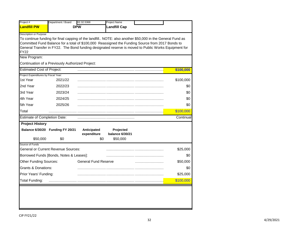| Project #                            | Department / Board                               | 02.32.5368                  | <b>Project Name</b>          |                                                                                                                                                                                                          |           |
|--------------------------------------|--------------------------------------------------|-----------------------------|------------------------------|----------------------------------------------------------------------------------------------------------------------------------------------------------------------------------------------------------|-----------|
| <b>Landfill PW</b>                   |                                                  | <b>DPW</b>                  | <b>Landfill Cap</b>          |                                                                                                                                                                                                          |           |
| <b>Description or Purpose</b>        |                                                  |                             |                              |                                                                                                                                                                                                          |           |
|                                      |                                                  |                             |                              | To continue funding for final capping of the landfill NOTE: also another \$50,000 in the General Fund as                                                                                                 |           |
|                                      |                                                  |                             |                              | Committed Fund Balance for a total of \$100,000 Reassigned the Funding Source from 2017 Bonds to<br>General Transfer in FY22. The Bond funding designated reserve is moved to Public Works Equipment for |           |
| <b>FY22</b>                          |                                                  |                             |                              |                                                                                                                                                                                                          |           |
| New Program:                         |                                                  |                             |                              |                                                                                                                                                                                                          |           |
|                                      | Continuation of a Previously Authorized Project: |                             |                              |                                                                                                                                                                                                          |           |
| <b>Estimated Cost of Project:</b>    |                                                  |                             |                              |                                                                                                                                                                                                          | \$100,000 |
| Project Expenditures by Fiscal Year: |                                                  |                             |                              |                                                                                                                                                                                                          |           |
| 1st Year                             | 2021/22                                          |                             |                              |                                                                                                                                                                                                          | \$100,000 |
| 2nd Year                             | 2022/23                                          |                             |                              |                                                                                                                                                                                                          | \$0       |
| 3rd Year                             | 2023/24                                          |                             |                              |                                                                                                                                                                                                          | \$0       |
| 4th Year                             | 2024/25                                          |                             |                              |                                                                                                                                                                                                          | \$0       |
| 5th Year                             | 2025/26                                          |                             |                              |                                                                                                                                                                                                          | \$0       |
| Total                                |                                                  |                             |                              |                                                                                                                                                                                                          | \$100,000 |
| <b>Estimate of Completion Date:</b>  |                                                  |                             |                              |                                                                                                                                                                                                          | Continual |
| <b>Project History</b>               |                                                  |                             |                              |                                                                                                                                                                                                          |           |
|                                      | Balance 6/30/20 Funding FY 20/21                 | Anticipated                 | Projected<br>balance 6/30/21 |                                                                                                                                                                                                          |           |
| \$50,000                             | \$0                                              | expenditure<br>\$0          | \$50,000                     |                                                                                                                                                                                                          |           |
| Source of Funds                      |                                                  |                             |                              |                                                                                                                                                                                                          |           |
|                                      | <b>General or Current Revenue Sources:</b>       |                             |                              |                                                                                                                                                                                                          | \$25,000  |
|                                      | Borrowed Funds [Bonds, Notes & Leases]:          |                             |                              |                                                                                                                                                                                                          | \$0       |
| <b>Other Funding Sources:</b>        |                                                  | <b>General Fund Reserve</b> |                              |                                                                                                                                                                                                          | \$50,000  |
|                                      |                                                  |                             |                              |                                                                                                                                                                                                          | \$0       |
| <b>Grants &amp; Donations:</b>       |                                                  |                             |                              |                                                                                                                                                                                                          | \$25,000  |
| Prior Years' Funding:                |                                                  |                             |                              |                                                                                                                                                                                                          |           |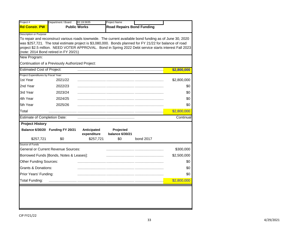|                                                | Department / Board                               | 02.19.5635                 | Project Name                        |                                                                                                          |             |
|------------------------------------------------|--------------------------------------------------|----------------------------|-------------------------------------|----------------------------------------------------------------------------------------------------------|-------------|
| <b>Rd Constr. PW</b>                           |                                                  | <b>Public Works</b>        | <b>Road Repairs Bond Funding</b>    |                                                                                                          |             |
| <b>Description or Purpose</b>                  |                                                  |                            |                                     | To repair and reconstruct various roads townwide. The current available bond funding as of June 30, 2020 |             |
|                                                |                                                  |                            |                                     | was \$257,721. The total estimate project is \$3,080,000. Bonds planned for FY 21/22 for balance of road |             |
|                                                | (note: 2014 Bond retired in FY 20/21)            |                            |                                     | project \$2.5 million. NEED VOTER APPROVAL. Bond in Spring 2022 Debt service starts interest Fall 2023   |             |
| New Program:                                   |                                                  |                            |                                     |                                                                                                          |             |
|                                                | Continuation of a Previously Authorized Project: |                            |                                     |                                                                                                          |             |
| <b>Estimated Cost of Project:</b>              |                                                  |                            |                                     |                                                                                                          | \$2,800,000 |
| Project Expenditures by Fiscal Year:           |                                                  |                            |                                     |                                                                                                          |             |
| 1st Year                                       | 2021/22                                          |                            |                                     |                                                                                                          | \$2,800,000 |
| 2nd Year                                       | 2022/23                                          |                            |                                     |                                                                                                          | \$0         |
| 3rd Year                                       | 2023/24                                          |                            |                                     |                                                                                                          | \$0         |
| 4th Year                                       | 2024/25                                          |                            |                                     |                                                                                                          | \$0         |
| 5th Year                                       | 2025/26                                          |                            |                                     |                                                                                                          | \$0         |
| Total                                          |                                                  |                            |                                     |                                                                                                          | \$2,800,000 |
| <b>Estimate of Completion Date:</b>            |                                                  |                            |                                     |                                                                                                          | Continual   |
| <b>Project History</b>                         |                                                  |                            |                                     |                                                                                                          |             |
|                                                | Balance 6/30/20 Funding FY 20/21                 | Anticipated<br>expenditure | Projected<br><b>balance 6/30/21</b> |                                                                                                          |             |
| \$257,721                                      | \$0                                              | \$257,721                  | \$0                                 | bond 2017                                                                                                |             |
| Source of Funds                                | <b>General or Current Revenue Sources:</b>       |                            |                                     |                                                                                                          | \$300,000   |
|                                                |                                                  |                            |                                     |                                                                                                          |             |
|                                                | Borrowed Funds [Bonds, Notes & Leases]:          |                            |                                     |                                                                                                          | \$2,500,000 |
| <b>Other Funding Sources:</b>                  |                                                  |                            |                                     |                                                                                                          | \$0         |
|                                                |                                                  |                            |                                     |                                                                                                          | \$0         |
| <b>Grants &amp; Donations:</b>                 |                                                  |                            |                                     |                                                                                                          | \$0         |
| Prior Years' Funding:<br><b>Total Funding:</b> |                                                  |                            |                                     |                                                                                                          | \$2,800,000 |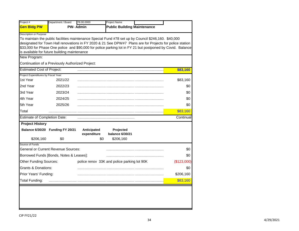| Project #                            | Department / Board                               | 78.00.0000      | <b>Project Name</b>                                                                                        |             |
|--------------------------------------|--------------------------------------------------|-----------------|------------------------------------------------------------------------------------------------------------|-------------|
| <b>Gen Bldg PW</b>                   |                                                  | <b>PW-Admin</b> | <b>Public Building Maintenance</b>                                                                         |             |
| Description or Purpose               |                                                  |                 |                                                                                                            |             |
|                                      |                                                  |                 | To maintain the public facilities maintenance Special Fund #78 set up by Council \$246,160. \$40,000       |             |
|                                      |                                                  |                 | designated for Town Hall renovations in FY 2020 & 21 See DPW#7 Plans are for Projects for police station   |             |
|                                      | is available for future building maintenance     |                 | \$33,000 for Phase One police and \$90,000 for police parking lot in FY 21 but postponed by Covid. Balance |             |
| New Program:                         |                                                  |                 |                                                                                                            |             |
|                                      | Continuation of a Previously Authorized Project: |                 |                                                                                                            |             |
| <b>Estimated Cost of Project:</b>    |                                                  |                 |                                                                                                            | \$83,160    |
| Project Expenditures by Fiscal Year: |                                                  |                 |                                                                                                            |             |
| 1st Year                             | 2021/22                                          |                 |                                                                                                            | \$83,160    |
| 2nd Year                             | 2022/23                                          |                 |                                                                                                            | \$0         |
| 3rd Year                             | 2023/24                                          |                 |                                                                                                            | \$0         |
| 4th Year                             | 2024/25                                          |                 |                                                                                                            | \$0         |
| 5th Year                             | 2025/26                                          |                 |                                                                                                            | \$0         |
| Total                                |                                                  |                 |                                                                                                            | \$83,160    |
| <b>Estimate of Completion Date:</b>  |                                                  |                 |                                                                                                            | Continual   |
| <b>Project History</b>               |                                                  |                 |                                                                                                            |             |
|                                      | Balance 6/30/20 Funding FY 20/21                 | Anticipated     | Projected                                                                                                  |             |
|                                      |                                                  | expenditure     | <b>balance 6/30/21</b>                                                                                     |             |
| \$206,160                            | \$0                                              | \$0             | \$206,160                                                                                                  |             |
| Source of Funds                      | <b>General or Current Revenue Sources:</b>       |                 |                                                                                                            | \$0         |
|                                      | Borrowed Funds [Bonds, Notes & Leases]:          |                 |                                                                                                            | \$0         |
| <b>Other Funding Sources:</b>        |                                                  |                 | police renov 33K and police parking lot 90K                                                                | (\$123,000) |
| <b>Grants &amp; Donations:</b>       |                                                  |                 |                                                                                                            | \$0         |
| Prior Years' Funding:                |                                                  |                 |                                                                                                            | \$206,160   |
|                                      |                                                  |                 |                                                                                                            |             |
| <b>Total Funding:</b>                |                                                  |                 |                                                                                                            | \$83,160    |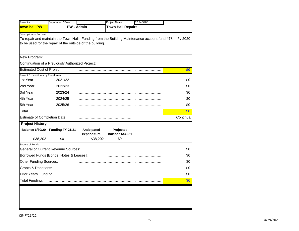|                                                | Department / Board                                        |                   | Project Name             | 02.24.5285 |                                                                                                         |
|------------------------------------------------|-----------------------------------------------------------|-------------------|--------------------------|------------|---------------------------------------------------------------------------------------------------------|
| town hall PW                                   |                                                           | <b>PW - Admin</b> | <b>Town Hall Repairs</b> |            |                                                                                                         |
| Description or Purpose                         |                                                           |                   |                          |            |                                                                                                         |
|                                                |                                                           |                   |                          |            | To repair and maintain the Town Hall. Funding from the Building Maintenance account fund #78 in Fy 2020 |
|                                                | to be used for the repair of the outside of the building. |                   |                          |            |                                                                                                         |
|                                                |                                                           |                   |                          |            |                                                                                                         |
| New Program:                                   |                                                           |                   |                          |            |                                                                                                         |
|                                                | Continuation of a Previously Authorized Project:          |                   |                          |            |                                                                                                         |
| <b>Estimated Cost of Project:</b>              |                                                           |                   |                          |            | \$0                                                                                                     |
| Project Expenditures by Fiscal Year:           |                                                           |                   |                          |            |                                                                                                         |
| 1st Year                                       | 2021/22                                                   |                   |                          |            | \$0                                                                                                     |
| 2nd Year                                       | 2022/23                                                   |                   |                          |            | \$0                                                                                                     |
| 3rd Year                                       | 2023/24                                                   |                   |                          |            | \$0                                                                                                     |
| 4th Year                                       | 2024/25                                                   |                   |                          |            | \$0                                                                                                     |
| 5th Year                                       | 2025/26                                                   |                   |                          |            | \$0                                                                                                     |
| Total                                          |                                                           |                   |                          |            | \$0                                                                                                     |
| <b>Estimate of Completion Date:</b>            |                                                           |                   |                          |            | Continual                                                                                               |
| <b>Project History</b>                         |                                                           |                   |                          |            |                                                                                                         |
|                                                | Balance 6/30/20 Funding FY 21/21                          | Anticipated       | Projected                |            |                                                                                                         |
|                                                |                                                           |                   | balance 6/30/21          |            |                                                                                                         |
|                                                |                                                           | expenditure       |                          |            |                                                                                                         |
| \$38,202                                       | \$0                                                       | \$38,202          | \$0                      |            |                                                                                                         |
| Source of Funds                                | General or Current Revenue Sources:                       |                   |                          |            | \$0                                                                                                     |
|                                                | Borrowed Funds [Bonds, Notes & Leases]:                   |                   |                          |            | \$0                                                                                                     |
| <b>Other Funding Sources:</b>                  |                                                           |                   |                          |            | \$0                                                                                                     |
| <b>Grants &amp; Donations:</b>                 |                                                           |                   |                          |            | \$0                                                                                                     |
|                                                |                                                           |                   |                          |            | \$0                                                                                                     |
| Prior Years' Funding:<br><b>Total Funding:</b> |                                                           |                   |                          |            | \$0                                                                                                     |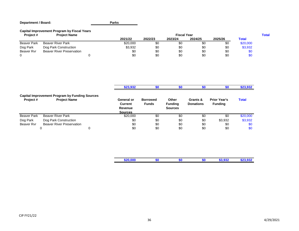#### **Department / Board: Parks**

#### **Capital Improvement Program by Fiscal Years**

| Project #          | <b>Project Name</b>              | <b>Fiscal Year</b> |         |         |         |         |              |  |  |
|--------------------|----------------------------------|--------------------|---------|---------|---------|---------|--------------|--|--|
|                    |                                  | 2021/22            | 2022/23 | 2023/24 | 2024/25 | 2025/26 | <b>Total</b> |  |  |
| <b>Beaver Park</b> | <b>Beaver River Park</b>         | \$20,000           | \$C     | \$0     |         | \$0     | \$20,000     |  |  |
| Dog Park           | Dog Park Construction            | \$3,932            | \$0     | \$0     | \$0     | \$0     | \$3,932      |  |  |
| Beaver Ryr         | <b>Beaver River Preservation</b> | \$0                | \$0     | \$0     | \$0     | \$0     | ง⊍           |  |  |
|                    |                                  | \$0                | \$0     | \$0     | \$0     | \$0     | טס           |  |  |

|                    |                                                                              |   | \$23,932                                           | \$0                             | œη                                        | SΩ                           | \$0                                   | \$23,932     |
|--------------------|------------------------------------------------------------------------------|---|----------------------------------------------------|---------------------------------|-------------------------------------------|------------------------------|---------------------------------------|--------------|
| Project #          | <b>Capital Improvement Program by Funding Sources</b><br><b>Project Name</b> |   | General or<br>Current<br>Revenue<br><b>Sources</b> | <b>Borrowed</b><br><b>Funds</b> | Other<br><b>Funding</b><br><b>Sources</b> | Grants &<br><b>Donations</b> | <b>Prior Year's</b><br><b>Funding</b> | <b>Total</b> |
| <b>Beaver Park</b> | <b>Beaver River Park</b>                                                     |   | \$20,000                                           | \$0                             | \$0                                       | \$0                          | \$0                                   | \$20,000     |
| Dog Park           | Dog Park Construction                                                        |   | \$0                                                | \$0                             | \$0                                       | \$0                          | \$3,932                               | \$3,932      |
| Beaver Ryr         | <b>Beaver River Preservation</b>                                             |   | \$0                                                | \$0                             | \$0                                       | \$0                          | \$0                                   | \$0          |
|                    | 0                                                                            | 0 | \$0                                                | \$0                             | \$0                                       | \$0                          | \$0                                   | \$0          |

| $\cdots$<br>--- |  | $-$<br>. . | - - |
|-----------------|--|------------|-----|
|                 |  |            |     |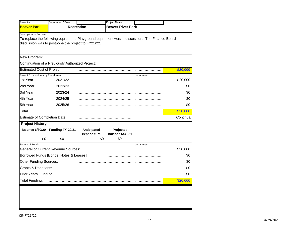|                                      | Department / Board                                 |                    | Project Name                                                                                  |           |
|--------------------------------------|----------------------------------------------------|--------------------|-----------------------------------------------------------------------------------------------|-----------|
| <b>Beaver Park</b>                   |                                                    | <b>Recreation</b>  | <b>Beaver River Park</b>                                                                      |           |
| <b>Description or Purpose</b>        |                                                    |                    |                                                                                               |           |
|                                      |                                                    |                    | To replace the following equipment: Playground equipment was in discussion. The Finance Board |           |
|                                      | discussion was to postpone the project to FY21/22. |                    |                                                                                               |           |
|                                      |                                                    |                    |                                                                                               |           |
| New Program:                         |                                                    |                    |                                                                                               |           |
|                                      | Continuation of a Previously Authorized Project:   |                    |                                                                                               |           |
| <b>Estimated Cost of Project:</b>    |                                                    |                    |                                                                                               | \$20,000  |
| Project Expenditures by Fiscal Year: |                                                    |                    | department                                                                                    |           |
| 1st Year                             | 2021/22                                            |                    |                                                                                               | \$20,000  |
| 2nd Year                             | 2022/23                                            |                    |                                                                                               | \$0       |
| 3rd Year                             | 2023/24                                            |                    |                                                                                               | \$0       |
| 4th Year                             | 2024/25                                            |                    |                                                                                               | \$0       |
| 5th Year                             | 2025/26                                            |                    |                                                                                               | \$0       |
| Total                                |                                                    |                    |                                                                                               | \$20,000  |
| <b>Estimate of Completion Date:</b>  |                                                    |                    |                                                                                               | Continual |
| <b>Project History</b>               |                                                    |                    |                                                                                               |           |
|                                      | Balance 6/30/20 Funding FY 20/21                   | Anticipated        | Projected                                                                                     |           |
| \$0                                  | \$0                                                | expenditure<br>\$0 | <b>balance 6/30/21</b><br>\$0                                                                 |           |
| Source of Funds                      |                                                    |                    | department                                                                                    |           |
|                                      | <b>General or Current Revenue Sources:</b>         |                    |                                                                                               | \$20,000  |
|                                      | Borrowed Funds [Bonds, Notes & Leases]:            |                    |                                                                                               | \$0       |
| <b>Other Funding Sources:</b>        |                                                    |                    |                                                                                               | \$0       |
| <b>Grants &amp; Donations:</b>       |                                                    |                    |                                                                                               | \$0       |
|                                      |                                                    |                    |                                                                                               | \$0       |
| Prior Years' Funding:                |                                                    |                    |                                                                                               |           |

L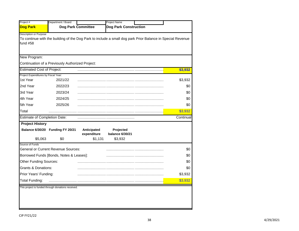| Project #                            | Department / Board                               |                            | Project Name                                                                                               |           |
|--------------------------------------|--------------------------------------------------|----------------------------|------------------------------------------------------------------------------------------------------------|-----------|
| Dog Park                             |                                                  | <b>Dog Park Committee</b>  | <b>Dog Park Construction</b>                                                                               |           |
| <b>Description or Purpose</b>        |                                                  |                            |                                                                                                            |           |
| fund #58                             |                                                  |                            | To continue with the building of the Dog Park to include a small dog park Prior Balance in Special Revenue |           |
|                                      |                                                  |                            |                                                                                                            |           |
| New Program:                         |                                                  |                            |                                                                                                            |           |
|                                      | Continuation of a Previously Authorized Project: |                            |                                                                                                            |           |
| <b>Estimated Cost of Project:</b>    |                                                  |                            |                                                                                                            | \$3,932   |
| Project Expenditures by Fiscal Year: |                                                  |                            |                                                                                                            |           |
| 1st Year                             | 2021/22                                          |                            |                                                                                                            | \$3,932   |
| 2nd Year                             | 2022/23                                          |                            |                                                                                                            | \$0       |
| 3rd Year                             | 2023/24                                          |                            |                                                                                                            | \$0       |
| 4th Year                             | 2024/25                                          |                            |                                                                                                            | \$0       |
| 5th Year                             | 2025/26                                          |                            |                                                                                                            | \$0       |
| Total                                |                                                  |                            |                                                                                                            | \$3,932   |
| <b>Estimate of Completion Date:</b>  |                                                  |                            |                                                                                                            | Continual |
| <b>Project History</b>               |                                                  |                            |                                                                                                            |           |
|                                      | Balance 6/30/20 Funding FY 20/21                 | Anticipated<br>expenditure | Projected<br>balance 6/30/21                                                                               |           |
| \$5,063                              | \$0                                              | \$1,131                    | \$3,932                                                                                                    |           |
| Source of Funds                      |                                                  |                            |                                                                                                            |           |
|                                      | <b>General or Current Revenue Sources:</b>       |                            |                                                                                                            | \$0       |
|                                      | Borrowed Funds [Bonds, Notes & Leases]:          |                            |                                                                                                            | \$0       |
| <b>Other Funding Sources:</b>        |                                                  |                            |                                                                                                            | \$0       |
| <b>Grants &amp; Donations:</b>       |                                                  |                            |                                                                                                            | \$0       |
|                                      |                                                  |                            |                                                                                                            | \$3,932   |
| Prior Years' Funding:                |                                                  |                            |                                                                                                            | \$3,932   |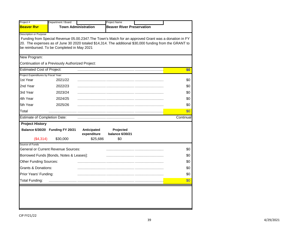| <b>Town Administration</b><br><b>Beaver River Preservation</b><br><b>Beaver Ryr</b><br>Description or Purpose<br>Funding from Special Revenue 05.00.2347. The Town's Match for an approved Grant was a donation in FY<br>20. The expenses as of June 30 2020 totaled \$14,314. The additional \$30,000 funding from the GRANT to<br>be reimbursed. To be Completed in May 2021<br>New Program:<br>Continuation of a Previously Authorized Project:<br><b>Estimated Cost of Project:</b><br>\$0<br>Project Expenditures by Fiscal Year:<br>1st Year<br>2021/22<br>\$0<br>2nd Year<br>2022/23<br>\$0<br>3rd Year<br>2023/24<br>\$0<br>4th Year<br>2024/25<br>\$0<br>5th Year<br>2025/26<br>\$0<br>\$0<br>Total<br><b>Estimate of Completion Date:</b><br><b>Project History</b><br>Balance 6/30/20 Funding FY 20/21<br>Anticipated<br>Projected<br>expenditure<br>balance 6/30/21<br>(\$4,314)<br>\$25,686<br>\$0<br>\$30,000<br>Source of Funds<br>General or Current Revenue Sources:<br>\$0<br>Borrowed Funds [Bonds, Notes & Leases]:<br>\$0<br><b>Other Funding Sources:</b><br>\$0<br><b>Grants &amp; Donations:</b><br>\$0<br>Prior Years' Funding:<br>\$0<br><b>Total Funding:</b><br>\$0 | Department / Board | Project Name |           |
|-------------------------------------------------------------------------------------------------------------------------------------------------------------------------------------------------------------------------------------------------------------------------------------------------------------------------------------------------------------------------------------------------------------------------------------------------------------------------------------------------------------------------------------------------------------------------------------------------------------------------------------------------------------------------------------------------------------------------------------------------------------------------------------------------------------------------------------------------------------------------------------------------------------------------------------------------------------------------------------------------------------------------------------------------------------------------------------------------------------------------------------------------------------------------------------------------|--------------------|--------------|-----------|
|                                                                                                                                                                                                                                                                                                                                                                                                                                                                                                                                                                                                                                                                                                                                                                                                                                                                                                                                                                                                                                                                                                                                                                                                 |                    |              |           |
|                                                                                                                                                                                                                                                                                                                                                                                                                                                                                                                                                                                                                                                                                                                                                                                                                                                                                                                                                                                                                                                                                                                                                                                                 |                    |              |           |
|                                                                                                                                                                                                                                                                                                                                                                                                                                                                                                                                                                                                                                                                                                                                                                                                                                                                                                                                                                                                                                                                                                                                                                                                 |                    |              |           |
|                                                                                                                                                                                                                                                                                                                                                                                                                                                                                                                                                                                                                                                                                                                                                                                                                                                                                                                                                                                                                                                                                                                                                                                                 |                    |              |           |
|                                                                                                                                                                                                                                                                                                                                                                                                                                                                                                                                                                                                                                                                                                                                                                                                                                                                                                                                                                                                                                                                                                                                                                                                 |                    |              |           |
|                                                                                                                                                                                                                                                                                                                                                                                                                                                                                                                                                                                                                                                                                                                                                                                                                                                                                                                                                                                                                                                                                                                                                                                                 |                    |              |           |
|                                                                                                                                                                                                                                                                                                                                                                                                                                                                                                                                                                                                                                                                                                                                                                                                                                                                                                                                                                                                                                                                                                                                                                                                 |                    |              |           |
|                                                                                                                                                                                                                                                                                                                                                                                                                                                                                                                                                                                                                                                                                                                                                                                                                                                                                                                                                                                                                                                                                                                                                                                                 |                    |              |           |
|                                                                                                                                                                                                                                                                                                                                                                                                                                                                                                                                                                                                                                                                                                                                                                                                                                                                                                                                                                                                                                                                                                                                                                                                 |                    |              |           |
|                                                                                                                                                                                                                                                                                                                                                                                                                                                                                                                                                                                                                                                                                                                                                                                                                                                                                                                                                                                                                                                                                                                                                                                                 |                    |              |           |
|                                                                                                                                                                                                                                                                                                                                                                                                                                                                                                                                                                                                                                                                                                                                                                                                                                                                                                                                                                                                                                                                                                                                                                                                 |                    |              |           |
|                                                                                                                                                                                                                                                                                                                                                                                                                                                                                                                                                                                                                                                                                                                                                                                                                                                                                                                                                                                                                                                                                                                                                                                                 |                    |              | Continual |
|                                                                                                                                                                                                                                                                                                                                                                                                                                                                                                                                                                                                                                                                                                                                                                                                                                                                                                                                                                                                                                                                                                                                                                                                 |                    |              |           |
|                                                                                                                                                                                                                                                                                                                                                                                                                                                                                                                                                                                                                                                                                                                                                                                                                                                                                                                                                                                                                                                                                                                                                                                                 |                    |              |           |
|                                                                                                                                                                                                                                                                                                                                                                                                                                                                                                                                                                                                                                                                                                                                                                                                                                                                                                                                                                                                                                                                                                                                                                                                 |                    |              |           |
|                                                                                                                                                                                                                                                                                                                                                                                                                                                                                                                                                                                                                                                                                                                                                                                                                                                                                                                                                                                                                                                                                                                                                                                                 |                    |              |           |
|                                                                                                                                                                                                                                                                                                                                                                                                                                                                                                                                                                                                                                                                                                                                                                                                                                                                                                                                                                                                                                                                                                                                                                                                 |                    |              |           |
|                                                                                                                                                                                                                                                                                                                                                                                                                                                                                                                                                                                                                                                                                                                                                                                                                                                                                                                                                                                                                                                                                                                                                                                                 |                    |              |           |
|                                                                                                                                                                                                                                                                                                                                                                                                                                                                                                                                                                                                                                                                                                                                                                                                                                                                                                                                                                                                                                                                                                                                                                                                 |                    |              |           |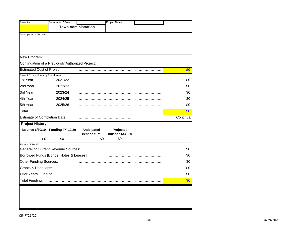|                                                          |                                                  | <b>Project Name</b>                                               |            |
|----------------------------------------------------------|--------------------------------------------------|-------------------------------------------------------------------|------------|
| Project #                                                | Department / Board                               |                                                                   |            |
|                                                          |                                                  | <b>Town Administration</b>                                        |            |
| <b>Description or Purpose</b>                            |                                                  |                                                                   |            |
| New Program:                                             |                                                  |                                                                   |            |
|                                                          | Continuation of a Previously Authorized Project: |                                                                   |            |
| <b>Estimated Cost of Project:</b>                        |                                                  |                                                                   | \$0        |
| Project Expenditures by Fiscal Year:                     |                                                  |                                                                   |            |
| 1st Year                                                 | 2021/22                                          |                                                                   | \$0        |
| 2nd Year                                                 | 2022/23                                          |                                                                   | \$0        |
| 3rd Year                                                 | 2023/24                                          |                                                                   | \$0        |
| 4th Year                                                 | 2024/25                                          |                                                                   | \$0        |
|                                                          |                                                  |                                                                   | \$0        |
|                                                          | 2025/26                                          |                                                                   |            |
| 5th Year<br>Total                                        |                                                  |                                                                   | \$0        |
| <b>Estimate of Completion Date:</b>                      |                                                  |                                                                   | Continual  |
| <b>Project History</b>                                   |                                                  |                                                                   |            |
|                                                          | Balance 6/30/19 Funding FY 19/20                 | Anticipated<br>Projected<br><b>balance 6/30/20</b><br>expenditure |            |
| \$0                                                      | \$0                                              | \$0<br>\$0                                                        |            |
| Source of Funds                                          |                                                  |                                                                   |            |
|                                                          | <b>General or Current Revenue Sources:</b>       |                                                                   | \$0        |
|                                                          | Borrowed Funds [Bonds, Notes & Leases]:          |                                                                   | \$0        |
| Other Funding Sources:<br><b>Grants &amp; Donations:</b> |                                                  |                                                                   | \$0<br>\$0 |
|                                                          |                                                  |                                                                   | \$0        |
| Prior Years' Funding:<br><b>Total Funding:</b>           |                                                  |                                                                   | \$0        |

۳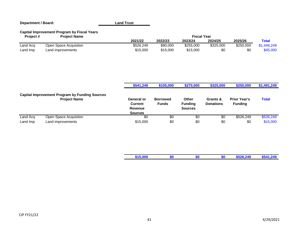| <b>Department / Board:</b> |                                                                              | <b>Land Trust</b>                                                       |                                 |                                           |                              |                                       |              |
|----------------------------|------------------------------------------------------------------------------|-------------------------------------------------------------------------|---------------------------------|-------------------------------------------|------------------------------|---------------------------------------|--------------|
| Project#                   | <b>Capital Improvement Program by Fiscal Years</b><br><b>Project Name</b>    |                                                                         |                                 | <b>Fiscal Year</b>                        |                              |                                       |              |
|                            |                                                                              | 2021/22                                                                 | 2022/23                         | 2023/24                                   | 2024/25                      | 2025/26                               | <b>Total</b> |
| Land Acq                   | Open Space Acquistion                                                        | \$526,249                                                               | \$90,000                        | \$255,000                                 | \$325,000                    | \$250,000                             | \$1,446,249  |
| Land Imp                   | Land improvements                                                            | \$15,000                                                                | \$15,000                        | \$15,000                                  | \$0                          | \$0                                   | \$45,000     |
|                            |                                                                              | \$541,249                                                               | \$105,000                       | \$270,000                                 | \$325,000                    | \$250,000                             | \$1,491,249  |
|                            | <b>Capital Improvement Program by Funding Sources</b><br><b>Project Name</b> | <b>General or</b><br><b>Current</b><br><b>Revenue</b><br><b>Sources</b> | <b>Borrowed</b><br><b>Funds</b> | Other<br><b>Funding</b><br><b>Sources</b> | Grants &<br><b>Donations</b> | <b>Prior Year's</b><br><b>Funding</b> | <b>Total</b> |
| Land Acq                   | Open Space Acquistion                                                        | \$0                                                                     | \$0                             | \$0                                       | \$0                          | \$526,249                             | \$526,249    |
| Land Imp                   | Land improvements                                                            | \$15,000                                                                | \$0                             | \$0                                       | \$0                          | \$0                                   | \$15,000     |
|                            |                                                                              |                                                                         |                                 |                                           |                              |                                       |              |
|                            |                                                                              | \$15,000                                                                | \$0                             | \$0                                       | \$0                          | \$526,249                             | \$541,249    |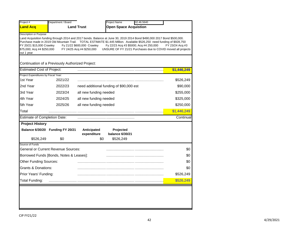| Project #                                                                                       | Department / Board                               |                                                         | <b>Project Name</b><br>02.46.5640                                                                                                                                                                                                                                                                                                                            |                 |
|-------------------------------------------------------------------------------------------------|--------------------------------------------------|---------------------------------------------------------|--------------------------------------------------------------------------------------------------------------------------------------------------------------------------------------------------------------------------------------------------------------------------------------------------------------------------------------------------------------|-----------------|
| <b>Land Acq</b>                                                                                 |                                                  | <b>Land Trust</b>                                       | <b>Open Space Acquistion</b>                                                                                                                                                                                                                                                                                                                                 |                 |
| Description or Purpose<br>FY 20/21 \$15,000 Crawley<br>\$75,000; Acq #4 \$250,000<br>out 1 year | Continuation of a Previously Authorized Project: | Fy 21/22 \$600,000 Crawley<br>FY 24/25 Acq #4 \$250,000 | Land Acquisition funding through 2014 and 2017 bonds. Balance at June 30, 2019 2014 Bond \$490,000 2017 Bond \$500,000.<br>Purchase made in 2019 Old Mountain Trail. TOTAL ESTIMATE \$1.445 Million. Available \$526,250 need funding of \$928,750<br>Fy 22/23 Acq #3 \$5000; Acq #4 250,000<br>UNSURE OF FY 21/21 Purchases due to COVID moved all projects | FY 23/24 Acq #3 |
| <b>Estimated Cost of Project:</b>                                                               |                                                  |                                                         |                                                                                                                                                                                                                                                                                                                                                              | \$1,446,249     |
| Project Expenditures by Fiscal Year:<br>1st Year                                                | 2021/22                                          |                                                         |                                                                                                                                                                                                                                                                                                                                                              | \$526,249       |
| 2nd Year                                                                                        | 2022/23                                          |                                                         | need additional funding of \$90,000 est                                                                                                                                                                                                                                                                                                                      | \$90,000        |
| 3rd Year                                                                                        | 2023/24                                          | all new funding needed                                  |                                                                                                                                                                                                                                                                                                                                                              | \$255,000       |
| 4th Year                                                                                        | 2024/25                                          | all new funding needed                                  |                                                                                                                                                                                                                                                                                                                                                              | \$325,000       |
| 5th Year                                                                                        | 2025/26                                          | all new funding needed                                  |                                                                                                                                                                                                                                                                                                                                                              | \$250,000       |
| Total                                                                                           |                                                  |                                                         |                                                                                                                                                                                                                                                                                                                                                              | \$1,446,249     |
| <b>Estimate of Completion Date:</b>                                                             |                                                  |                                                         |                                                                                                                                                                                                                                                                                                                                                              | Continual       |
| <b>Project History</b>                                                                          |                                                  |                                                         |                                                                                                                                                                                                                                                                                                                                                              |                 |
|                                                                                                 | Balance 6/30/20 Funding FY 20/21                 | Anticipated<br>expenditure                              | Projected<br><b>balance 6/30/21</b>                                                                                                                                                                                                                                                                                                                          |                 |
| \$526,249<br>Source of Funds                                                                    | \$0                                              | \$0                                                     | \$526,249                                                                                                                                                                                                                                                                                                                                                    |                 |
|                                                                                                 | <b>General or Current Revenue Sources:</b>       |                                                         |                                                                                                                                                                                                                                                                                                                                                              | \$0             |
|                                                                                                 | Borrowed Funds [Bonds, Notes & Leases]:          |                                                         |                                                                                                                                                                                                                                                                                                                                                              | \$0             |
| Other Funding Sources:                                                                          |                                                  |                                                         |                                                                                                                                                                                                                                                                                                                                                              | \$0             |
| <b>Grants &amp; Donations:</b>                                                                  |                                                  |                                                         |                                                                                                                                                                                                                                                                                                                                                              | \$0             |
|                                                                                                 |                                                  |                                                         |                                                                                                                                                                                                                                                                                                                                                              | \$526,249       |
| Prior Years' Funding:                                                                           |                                                  |                                                         |                                                                                                                                                                                                                                                                                                                                                              |                 |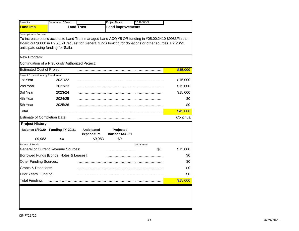| Project #                            | Department / Board                               |                            | Project Name                 | 02.46.XXXX                                                                                                                                                                                                     |           |
|--------------------------------------|--------------------------------------------------|----------------------------|------------------------------|----------------------------------------------------------------------------------------------------------------------------------------------------------------------------------------------------------------|-----------|
| <b>Land Imp</b>                      |                                                  | <b>Land Trust</b>          | <b>Land improvements</b>     |                                                                                                                                                                                                                |           |
| Description or Purpose               | anticipate using funding for Saila               |                            |                              | To increase public access to Land Trust managed Land ACQ #5 OR funding in #05.00.2410 \$9983Finance<br>Board cut \$6000 in FY 20/21 request for General funds looking for donations or other sources. FY 20/21 |           |
| New Program:                         |                                                  |                            |                              |                                                                                                                                                                                                                |           |
|                                      | Continuation of a Previously Authorized Project: |                            |                              |                                                                                                                                                                                                                |           |
| <b>Estimated Cost of Project:</b>    |                                                  |                            |                              |                                                                                                                                                                                                                | \$45,000  |
| Project Expenditures by Fiscal Year: |                                                  |                            |                              |                                                                                                                                                                                                                |           |
| 1st Year                             | 2021/22                                          |                            |                              |                                                                                                                                                                                                                | \$15,000  |
| 2nd Year                             | 2022/23                                          |                            |                              |                                                                                                                                                                                                                | \$15,000  |
| 3rd Year                             | 2023/24                                          |                            |                              |                                                                                                                                                                                                                | \$15,000  |
| 4th Year                             | 2024/25                                          |                            |                              |                                                                                                                                                                                                                | \$0       |
| 5th Year                             | 2025/26                                          |                            |                              |                                                                                                                                                                                                                | \$0       |
| Total                                |                                                  |                            |                              |                                                                                                                                                                                                                | \$45,000  |
| <b>Estimate of Completion Date:</b>  |                                                  |                            |                              |                                                                                                                                                                                                                | Continual |
| <b>Project History</b>               |                                                  |                            |                              |                                                                                                                                                                                                                |           |
|                                      | Balance 6/30/20 Funding FY 20/21                 | Anticipated<br>expenditure | Projected<br>balance 6/30/21 |                                                                                                                                                                                                                |           |
| \$9,983                              | \$0                                              | \$9,983                    | \$0                          |                                                                                                                                                                                                                |           |
| Source of Funds                      |                                                  |                            |                              | department                                                                                                                                                                                                     |           |
|                                      | <b>General or Current Revenue Sources:</b>       |                            |                              | \$0                                                                                                                                                                                                            | \$15,000  |
|                                      | Borrowed Funds [Bonds, Notes & Leases]:          |                            |                              |                                                                                                                                                                                                                | \$0       |
| Other Funding Sources:               |                                                  |                            |                              |                                                                                                                                                                                                                | \$0       |
| <b>Grants &amp; Donations:</b>       |                                                  |                            |                              |                                                                                                                                                                                                                | \$0       |
| Prior Years' Funding:                |                                                  |                            |                              |                                                                                                                                                                                                                | \$0       |
| <b>Total Funding:</b>                |                                                  |                            |                              |                                                                                                                                                                                                                | \$15,000  |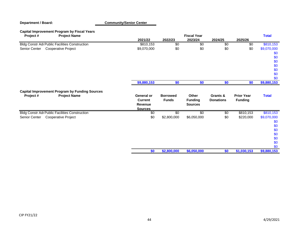| <b>Capital Improvement Program by Fiscal Years</b><br>Project#<br><b>Project Name</b>    |                                                           |                                 | <b>Fiscal Year</b>                        |                              |                                     | <b>Total</b>                                                 |
|------------------------------------------------------------------------------------------|-----------------------------------------------------------|---------------------------------|-------------------------------------------|------------------------------|-------------------------------------|--------------------------------------------------------------|
|                                                                                          | 2021/22                                                   | 2022/23                         | 2023/24                                   | 2024/25                      | 2025/26                             |                                                              |
| <b>Bldg Constr Adr Public Facilities Construction</b>                                    | \$810,153                                                 | \$0                             | \$0                                       | \$0                          | \$0                                 | \$810,153                                                    |
| <b>Cooperative Project</b><br>Senior Center                                              | \$9,070,000                                               | \$0                             | \$0                                       | \$0                          | \$0                                 | \$9,070,000<br>\$0<br>\$0<br>\$0<br>\$0<br>\$0<br>\$0        |
|                                                                                          |                                                           |                                 |                                           |                              |                                     | \$0                                                          |
|                                                                                          | \$9,880,153                                               | \$0                             | \$0                                       | \$0                          | \$0                                 | \$9,880,153                                                  |
| <b>Capital Improvement Program by Funding Sources</b><br>Project#<br><b>Project Name</b> | General or<br><b>Current</b><br>Revenue<br><b>Sources</b> | <b>Borrowed</b><br><b>Funds</b> | Other<br><b>Funding</b><br><b>Sources</b> | Grants &<br><b>Donations</b> | <b>Prior Year</b><br><b>Funding</b> | <b>Total</b>                                                 |
| <b>Bldg Constr Adr Public Facilities Construction</b>                                    | \$0                                                       | \$0                             | \$0                                       | \$0                          | \$810,153                           | \$810,153                                                    |
| Cooperative Project<br>Senior Center                                                     | \$0                                                       | \$2,800,000                     | \$6,050,000                               | \$0                          | \$220,000                           | \$9,070,000<br>\$0<br>\$0<br>\$0<br>\$0<br>\$0<br>\$0<br>\$0 |
|                                                                                          | \$0                                                       | \$2,800,000                     | \$6,050,000                               | \$0                          | \$1,030,153                         | \$9,880,153                                                  |

**Community/Senior Center**

**Department / Board:**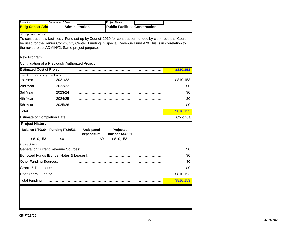| Project #                            | Department / Board                               |                       | Project Name                                                                                             |           |
|--------------------------------------|--------------------------------------------------|-----------------------|----------------------------------------------------------------------------------------------------------|-----------|
| <b>Bldg Constr Adn</b>               |                                                  | <b>Administration</b> | <b>Public Facilities Construction</b>                                                                    |           |
| Description or Purpose               |                                                  |                       |                                                                                                          |           |
|                                      |                                                  |                       | To construct new facilities: Fund set up by Council 2019 for construction funded by clerk receipts Could |           |
|                                      | the next project ADMIN#2. Same project purpose.  |                       | be used for the Senior Community Center Funding in Special Revenue Fund #79 This is in correlation to    |           |
|                                      |                                                  |                       |                                                                                                          |           |
| New Program:                         |                                                  |                       |                                                                                                          |           |
|                                      | Continuation of a Previously Authorized Project: |                       |                                                                                                          |           |
| <b>Estimated Cost of Project:</b>    |                                                  |                       |                                                                                                          | \$810,153 |
| Project Expenditures by Fiscal Year: |                                                  |                       |                                                                                                          |           |
| 1st Year                             | 2021/22                                          |                       |                                                                                                          | \$810,153 |
| 2nd Year                             | 2022/23                                          |                       |                                                                                                          | \$0       |
| 3rd Year                             | 2023/24                                          |                       |                                                                                                          | \$0       |
| 4th Year                             | 2024/25                                          |                       |                                                                                                          | \$0       |
| 5th Year                             | 2025/26                                          |                       |                                                                                                          | \$0       |
| Total                                |                                                  |                       |                                                                                                          | \$810,153 |
| <b>Estimate of Completion Date:</b>  |                                                  |                       |                                                                                                          | Continual |
| <b>Project History</b>               |                                                  |                       |                                                                                                          |           |
| <b>Balance 6/30/20</b>               | Funding FY20/21                                  | Anticipated           | Projected                                                                                                |           |
|                                      |                                                  | expenditure           | <b>balance 6/30/21</b>                                                                                   |           |
| \$810,153                            | \$0                                              |                       | \$810,153<br>\$0                                                                                         |           |
| Source of Funds                      | <b>General or Current Revenue Sources:</b>       |                       |                                                                                                          | \$0       |
|                                      |                                                  |                       |                                                                                                          |           |
|                                      | Borrowed Funds [Bonds, Notes & Leases]:          |                       |                                                                                                          | \$0       |
| <b>Other Funding Sources:</b>        |                                                  |                       |                                                                                                          | \$0       |
| <b>Grants &amp; Donations:</b>       |                                                  |                       |                                                                                                          | \$0       |
| Prior Years' Funding:                |                                                  |                       |                                                                                                          | \$810,153 |
| <b>Total Funding:</b>                |                                                  |                       |                                                                                                          | \$810,153 |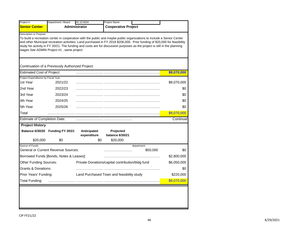| Project #                                               | Department / Board                               | 02.10.5634                 | Project Name                                                                                                                                                                                                                                                                                                                                                                   |                        |             |
|---------------------------------------------------------|--------------------------------------------------|----------------------------|--------------------------------------------------------------------------------------------------------------------------------------------------------------------------------------------------------------------------------------------------------------------------------------------------------------------------------------------------------------------------------|------------------------|-------------|
| <b>Senior Center</b>                                    |                                                  | <b>Administrator</b>       | <b>Cooperative Project</b>                                                                                                                                                                                                                                                                                                                                                     |                        |             |
| <b>Description or Purpose</b>                           | stages See ADMIN Project #1, same project        |                            | To build a recreation center in cooperation with the public and maybe public organizations to include a Senior Center<br>and other Municipal recreation activities. Land purchased in FY 2018 \$206,000. Prior funding of \$20,000 for feasibility<br>study No activity in FY 20/21. The funding and costs are for discussion purposes as the project is still in the planning |                        |             |
|                                                         | Continuation of a Previously Authorized Project: |                            |                                                                                                                                                                                                                                                                                                                                                                                |                        |             |
| <b>Estimated Cost of Project:</b>                       |                                                  |                            |                                                                                                                                                                                                                                                                                                                                                                                |                        | \$9,070,000 |
| Project Expenditures by Fiscal Year:<br>1st Year        | 2021/22                                          |                            |                                                                                                                                                                                                                                                                                                                                                                                |                        | \$9,070,000 |
| 2nd Year                                                | 2022/23                                          |                            |                                                                                                                                                                                                                                                                                                                                                                                |                        | \$0         |
| 3rd Year                                                | 2023/24                                          |                            |                                                                                                                                                                                                                                                                                                                                                                                |                        | \$0         |
| 4th Year                                                | 2024/25                                          |                            |                                                                                                                                                                                                                                                                                                                                                                                |                        | \$0         |
| 5th Year                                                | 2025/26                                          |                            |                                                                                                                                                                                                                                                                                                                                                                                |                        | \$0         |
| Total                                                   |                                                  |                            |                                                                                                                                                                                                                                                                                                                                                                                |                        | \$9,070,000 |
| <b>Estimate of Completion Date:</b>                     |                                                  |                            |                                                                                                                                                                                                                                                                                                                                                                                |                        | Continual   |
| <b>Project History</b>                                  |                                                  |                            |                                                                                                                                                                                                                                                                                                                                                                                |                        |             |
|                                                         | Balance 6/30/20 Funding FY 20/21                 | Anticipated<br>expenditure | Projected<br>balance 6/30/21                                                                                                                                                                                                                                                                                                                                                   |                        |             |
| \$20,000                                                | \$0                                              | \$0                        | \$20,000                                                                                                                                                                                                                                                                                                                                                                       |                        |             |
| Source of Funds                                         | <b>General or Current Revenue Sources:</b>       |                            |                                                                                                                                                                                                                                                                                                                                                                                | department<br>\$50,000 | \$0         |
|                                                         | Borrowed Funds [Bonds, Notes & Leases]:          |                            |                                                                                                                                                                                                                                                                                                                                                                                |                        | \$2,800,000 |
| <b>Other Funding Sources:</b>                           |                                                  |                            | Private Donations/capital contribution/bldg fund                                                                                                                                                                                                                                                                                                                               |                        | \$6,050,000 |
|                                                         |                                                  |                            |                                                                                                                                                                                                                                                                                                                                                                                |                        | \$0         |
|                                                         |                                                  |                            |                                                                                                                                                                                                                                                                                                                                                                                |                        | \$220,000   |
| <b>Grants &amp; Donations:</b><br>Prior Years' Funding: |                                                  |                            | Land Purchased Town and feasibility study                                                                                                                                                                                                                                                                                                                                      |                        |             |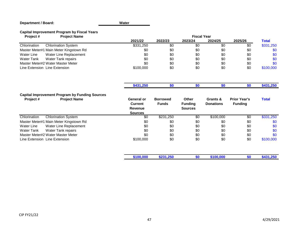# **Department / Board: Capital Improvement Program by Fiscal Years**

| Project#                      | <b>Project Name</b>                    |           |         | <b>Fiscal Year</b> |         |         |              |
|-------------------------------|----------------------------------------|-----------|---------|--------------------|---------|---------|--------------|
|                               |                                        | 2021/22   | 2022/23 | 2023/24            | 2024/25 | 2025/26 | <b>Total</b> |
| Chlorination                  | <b>Chlorination System</b>             | \$331.250 | \$0     | \$0                | -\$0    | \$0     | \$331,250    |
|                               | Master Meter#1 Main Meter Kingstown Rd | \$0       | \$0     | \$0                | \$0     | \$0     | \$0          |
| Water Line                    | Water Line Replacement                 | \$0       | \$0     | \$0                | \$0     | \$0     | \$0          |
| Water Tank                    | Water Tank repairs                     | \$0       | \$0     | \$0                | \$0     | \$0     | \$0          |
|                               | Master Meter#2 Water Master Meter      | \$0       | \$0     | \$0                | \$0     | \$0     | \$0          |
| Line Extension Line Extension |                                        | \$100,000 | \$0     | \$0                | \$0     | \$0     | \$100,000    |

**Water**

|                                                                                          | \$431,250                                                               | \$0                             | \$0                                              | \$0                          | \$0                                   | \$431,250    |
|------------------------------------------------------------------------------------------|-------------------------------------------------------------------------|---------------------------------|--------------------------------------------------|------------------------------|---------------------------------------|--------------|
| <b>Capital Improvement Program by Funding Sources</b><br><b>Project Name</b><br>Project# | <b>General or</b><br><b>Current</b><br><b>Revenue</b><br><b>Sources</b> | <b>Borrowed</b><br><b>Funds</b> | <b>Other</b><br><b>Funding</b><br><b>Sources</b> | Grants &<br><b>Donations</b> | <b>Prior Year's</b><br><b>Funding</b> | <b>Total</b> |
| <b>Chlorination System</b><br>Chlorination                                               | \$0                                                                     | \$231,250                       | $\sqrt[6]{}$                                     | \$100,000                    | $\overline{50}$                       | \$331,250    |
| Master Meter#1 Main Meter Kingstown Rd                                                   | \$0                                                                     | \$0                             | \$0                                              | \$0                          | \$0                                   | \$0          |
| Water Line Replacement<br>Water Line                                                     | \$0                                                                     | \$0                             | \$0                                              | \$0                          | \$0                                   | \$0          |
| Water Tank repairs<br>Water Tank                                                         | \$0                                                                     | \$0                             | \$0                                              | \$0                          | \$0                                   | \$0          |
| Master Meter#2 Water Master Meter                                                        | \$0                                                                     | \$0                             | \$0                                              | \$0                          | \$0                                   | \$0          |
| Line Extension Line Extension                                                            | \$100,000                                                               | \$0                             | \$0                                              | \$0                          | \$0                                   | \$100,000    |
|                                                                                          | \$100,000                                                               | \$231,250                       | \$0                                              | \$100,000                    | \$0                                   | \$431,250    |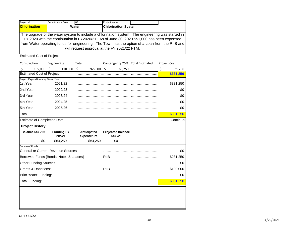| Project #           | Department / Board | 03.   | <b>Project Name</b>                          |                                                                                                                                                                                                                                                                                                   |  |
|---------------------|--------------------|-------|----------------------------------------------|---------------------------------------------------------------------------------------------------------------------------------------------------------------------------------------------------------------------------------------------------------------------------------------------------|--|
| <b>Chlorination</b> |                    | Water | <b>Chlorination System</b>                   |                                                                                                                                                                                                                                                                                                   |  |
|                     |                    |       | will request approval at the FY 2021/22 FTM. | The upgrade of the water system to include a chlorination system. The engineering was started in<br>FY 2020 with the continuation in FY2020/21. As of June 30, 2020 \$51,000 has been expensed<br>from Water operating funds for engineering. The Town has the option of a Loan from the RIIB and |  |

Estimated Cost of Project:

|                                            |     | Engineering       | Total |                         |             |                          | Contengency 25% Total Estimated | <b>Project Cost</b> |
|--------------------------------------------|-----|-------------------|-------|-------------------------|-------------|--------------------------|---------------------------------|---------------------|
| 155,000 \$<br>\$                           |     | 110,000 \$        |       | $265,000$ \$            |             | 66,250                   |                                 | \$<br>331,250       |
| <b>Estimated Cost of Project:</b>          |     |                   |       |                         |             |                          |                                 | \$331,250           |
| Project Expenditures by Fiscal Year:       |     |                   |       |                         |             |                          |                                 |                     |
| 1st Year                                   |     | 2021/22           |       |                         |             |                          |                                 | \$331,250           |
| 2nd Year                                   |     | 2022/23           |       |                         |             |                          |                                 | \$0                 |
| 3rd Year                                   |     | 2023/24           |       |                         |             |                          |                                 | \$0                 |
| 4th Year                                   |     | 2024/25           |       |                         |             |                          |                                 | \$0                 |
| 5th Year                                   |     | 2025/26           |       |                         |             |                          |                                 | \$0                 |
| Total                                      |     |                   |       |                         |             |                          |                                 | \$331,250           |
| <b>Estimate of Completion Date:</b>        |     |                   |       |                         |             |                          |                                 | Continual           |
| <b>Project History</b>                     |     |                   |       |                         |             |                          |                                 |                     |
|                                            |     |                   |       |                         |             |                          |                                 |                     |
| <b>Balance 6/30/19</b>                     |     | <b>Funding FY</b> |       | Anticipated             |             | <b>Projected balance</b> |                                 |                     |
|                                            | \$0 | 20&21<br>\$64,250 |       | expenditure<br>\$64,250 |             | 6/30/21<br>\$0           |                                 |                     |
| Source of Funds                            |     |                   |       |                         |             |                          |                                 |                     |
| <b>General or Current Revenue Sources:</b> |     |                   |       |                         |             |                          |                                 | \$0                 |
| Borrowed Funds [Bonds, Notes & Leases]:    |     |                   |       |                         | <b>RIIB</b> |                          |                                 | \$231,250           |
| Other Funding Sources:                     |     |                   |       |                         |             |                          |                                 | \$0                 |
| <b>Grants &amp; Donations:</b>             |     |                   |       | RIIB                    |             |                          |                                 | \$100,000           |
| Prior Years' Funding:                      |     |                   |       |                         |             |                          |                                 | \$0                 |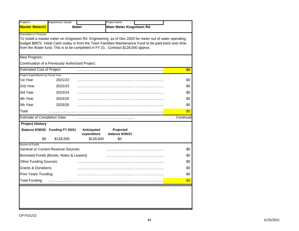|                                                  | Department / Board                               |                            | Project Name                                                                                                                                                                                                                                                                                           |           |
|--------------------------------------------------|--------------------------------------------------|----------------------------|--------------------------------------------------------------------------------------------------------------------------------------------------------------------------------------------------------------------------------------------------------------------------------------------------------|-----------|
| <b>Master Meter#1</b>                            | Water                                            |                            | <b>Main Meter Kingstown Rd</b>                                                                                                                                                                                                                                                                         |           |
| Description or Purpose                           |                                                  |                            | To install a master meter on Kingstown Rd Engineering as of Dec 2020 for meter out of water operating<br>budget \$8875 Initial Cash outlay is from the Town Facilities Maintenance Fund to be paid back over time<br>from the Water fund. This is to be completed in FY 21. Contract \$128,500 approx. |           |
| New Program:                                     |                                                  |                            |                                                                                                                                                                                                                                                                                                        |           |
|                                                  | Continuation of a Previously Authorized Project: |                            |                                                                                                                                                                                                                                                                                                        |           |
| <b>Estimated Cost of Project:</b>                |                                                  |                            |                                                                                                                                                                                                                                                                                                        | \$0       |
| Project Expenditures by Fiscal Year:<br>1st Year | 2021/22                                          |                            |                                                                                                                                                                                                                                                                                                        | \$0       |
| 2nd Year                                         | 2022/23                                          |                            |                                                                                                                                                                                                                                                                                                        | \$0       |
| 3rd Year                                         | 2023/24                                          |                            |                                                                                                                                                                                                                                                                                                        | \$0       |
| 4th Year                                         | 2024/25                                          |                            |                                                                                                                                                                                                                                                                                                        | \$0       |
| 5th Year                                         | 2025/26                                          |                            |                                                                                                                                                                                                                                                                                                        | \$0       |
| Total                                            |                                                  |                            |                                                                                                                                                                                                                                                                                                        | \$0       |
| <b>Estimate of Completion Date:</b>              |                                                  |                            |                                                                                                                                                                                                                                                                                                        | Continual |
| <b>Project History</b>                           |                                                  |                            |                                                                                                                                                                                                                                                                                                        |           |
|                                                  | Balance 6/30/20 Funding FY 20/21                 | Anticipated<br>expenditure | Projected<br>balance 6/30/21                                                                                                                                                                                                                                                                           |           |
| \$0                                              | \$128,500                                        | \$128,500                  | \$0                                                                                                                                                                                                                                                                                                    |           |
| Source of Funds                                  | <b>General or Current Revenue Sources:</b>       |                            |                                                                                                                                                                                                                                                                                                        | \$0       |
|                                                  |                                                  |                            |                                                                                                                                                                                                                                                                                                        |           |
|                                                  | Borrowed Funds [Bonds, Notes & Leases]:          |                            |                                                                                                                                                                                                                                                                                                        | \$0       |
| Other Funding Sources:                           |                                                  |                            |                                                                                                                                                                                                                                                                                                        | \$0       |
| <b>Grants &amp; Donations:</b>                   |                                                  |                            |                                                                                                                                                                                                                                                                                                        | \$0       |
| Prior Years' Funding:                            |                                                  |                            |                                                                                                                                                                                                                                                                                                        | \$0       |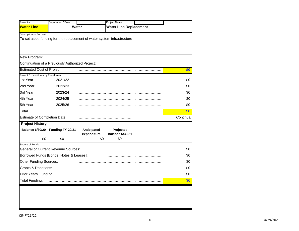|                                                | Department / Board                                                      |                            | Project Name                  |            |
|------------------------------------------------|-------------------------------------------------------------------------|----------------------------|-------------------------------|------------|
| <b>Water Line</b>                              | Water                                                                   |                            | <b>Water Line Replacement</b> |            |
| Description or Purpose                         | To set aside funding for the replacement of water system infrastructure |                            |                               |            |
| New Program:                                   |                                                                         |                            |                               |            |
|                                                | Continuation of a Previously Authorized Project:                        |                            |                               |            |
| <b>Estimated Cost of Project:</b>              |                                                                         |                            |                               | \$0        |
| Project Expenditures by Fiscal Year:           |                                                                         |                            |                               |            |
| 1st Year                                       | 2021/22                                                                 |                            |                               | \$0        |
| 2nd Year                                       | 2022/23                                                                 |                            |                               | \$0        |
| 3rd Year                                       | 2023/24                                                                 |                            |                               | \$0        |
| 4th Year                                       | 2024/25                                                                 |                            |                               | \$0        |
| 5th Year                                       | 2025/26                                                                 |                            |                               | \$0        |
| Total                                          |                                                                         |                            |                               | \$0        |
| <b>Estimate of Completion Date:</b>            |                                                                         |                            |                               | Continual  |
| <b>Project History</b>                         |                                                                         |                            |                               |            |
|                                                | Balance 6/30/20 Funding FY 20/21                                        | Anticipated<br>expenditure | Projected<br>balance 6/30/21  |            |
| \$0                                            | \$0                                                                     | \$0                        | \$0                           |            |
| Source of Funds                                |                                                                         |                            |                               |            |
|                                                |                                                                         |                            |                               |            |
|                                                | <b>General or Current Revenue Sources:</b>                              |                            |                               | \$0        |
|                                                | Borrowed Funds [Bonds, Notes & Leases]:                                 |                            |                               | \$0        |
| <b>Other Funding Sources:</b>                  |                                                                         |                            |                               | \$0        |
| <b>Grants &amp; Donations:</b>                 |                                                                         |                            |                               | \$0        |
| Prior Years' Funding:<br><b>Total Funding:</b> |                                                                         |                            |                               | \$0<br>\$0 |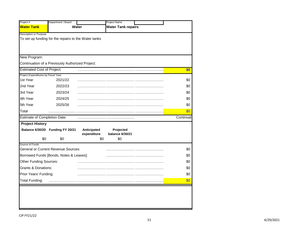|                                                  | Department / Board                                   |             | Project Name              |           |
|--------------------------------------------------|------------------------------------------------------|-------------|---------------------------|-----------|
| <b>Water Tank</b>                                |                                                      | Water       | <b>Water Tank repairs</b> |           |
| <b>Description or Purpose</b>                    |                                                      |             |                           |           |
|                                                  | To set up funding for the repairs to the Water tanks |             |                           |           |
|                                                  |                                                      |             |                           |           |
|                                                  |                                                      |             |                           |           |
| New Program:                                     |                                                      |             |                           |           |
|                                                  | Continuation of a Previously Authorized Project:     |             |                           |           |
| <b>Estimated Cost of Project:</b>                |                                                      |             |                           | \$0       |
| Project Expenditures by Fiscal Year:<br>1st Year | 2021/22                                              |             |                           | \$0       |
| 2nd Year                                         | 2022/23                                              |             |                           | \$0       |
| 3rd Year                                         | 2023/24                                              |             |                           | \$0       |
| 4th Year                                         | 2024/25                                              |             |                           | \$0       |
| 5th Year                                         | 2025/26                                              |             |                           | \$0       |
| Total                                            |                                                      |             |                           | \$0       |
| <b>Estimate of Completion Date:</b>              |                                                      |             |                           | Continual |
| <b>Project History</b>                           |                                                      |             |                           |           |
|                                                  | Balance 6/30/20 Funding FY 20/21                     | Anticipated | Projected                 |           |
|                                                  |                                                      | expenditure | balance 6/30/21           |           |
| \$0<br>Source of Funds                           | \$0                                                  | \$0         | \$0                       |           |
|                                                  | <b>General or Current Revenue Sources:</b>           |             |                           | \$0       |
|                                                  |                                                      |             |                           |           |
|                                                  | Borrowed Funds [Bonds, Notes & Leases]:              |             |                           | \$0       |
| Other Funding Sources:                           |                                                      |             |                           | \$0       |
| <b>Grants &amp; Donations:</b>                   |                                                      |             |                           | \$0       |
| Prior Years' Funding:                            |                                                      |             |                           | \$0       |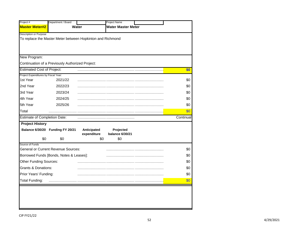|                                                | Department / Board                                         |              | <b>Project Name</b>       |            |
|------------------------------------------------|------------------------------------------------------------|--------------|---------------------------|------------|
| <b>Master Meter#2</b>                          |                                                            | <b>Water</b> | <b>Water Master Meter</b> |            |
| <b>Description or Purpose</b>                  |                                                            |              |                           |            |
|                                                | To replace the Master Meter between Hopkinton and Richmond |              |                           |            |
|                                                |                                                            |              |                           |            |
|                                                |                                                            |              |                           |            |
| New Program:                                   |                                                            |              |                           |            |
|                                                | Continuation of a Previously Authorized Project:           |              |                           |            |
| <b>Estimated Cost of Project:</b>              |                                                            |              |                           | \$0        |
| Project Expenditures by Fiscal Year:           |                                                            |              |                           |            |
| 1st Year                                       | 2021/22                                                    |              |                           | \$0        |
| 2nd Year                                       | 2022/23                                                    |              |                           | \$0        |
| 3rd Year                                       | 2023/24                                                    |              |                           | \$0        |
| 4th Year                                       | 2024/25                                                    |              |                           | \$0        |
| 5th Year                                       | 2025/26                                                    |              |                           | \$0        |
| Total                                          |                                                            |              |                           | \$0        |
| <b>Estimate of Completion Date:</b>            |                                                            |              |                           | Continual  |
| <b>Project History</b>                         |                                                            |              |                           |            |
|                                                | Balance 6/30/20 Funding FY 20/21                           | Anticipated  | Projected                 |            |
|                                                |                                                            | expenditure  | balance 6/30/21           |            |
|                                                |                                                            |              |                           |            |
| \$0                                            | \$0                                                        | \$0          | \$0                       |            |
| Source of Funds                                |                                                            |              |                           |            |
|                                                | <b>General or Current Revenue Sources:</b>                 |              |                           | \$0        |
|                                                | Borrowed Funds [Bonds, Notes & Leases]:                    |              |                           | \$0        |
| <b>Other Funding Sources:</b>                  |                                                            |              |                           | \$0        |
| <b>Grants &amp; Donations:</b>                 |                                                            |              |                           | \$0        |
| Prior Years' Funding:<br><b>Total Funding:</b> |                                                            |              |                           | \$0<br>\$0 |

L